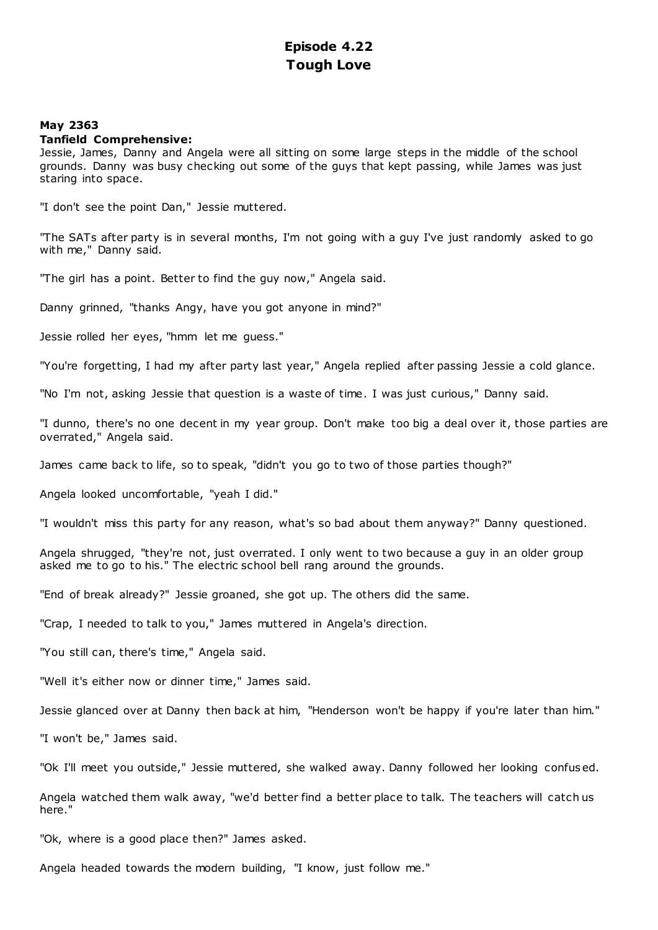# **Episode 4.22 Tough Love**

## **May 2363**

## **Tanfield Comprehensive:**

Jessie, James, Danny and Angela were all sitting on some large steps in the middle of the school grounds. Danny was busy checking out some of the guys that kept passing, while James was just staring into space.

"I don't see the point Dan," Jessie muttered.

"The SATs after party is in several months, I'm not going with a guy I've just randomly asked to go with me," Danny said.

"The girl has a point. Better to find the guy now," Angela said.

Danny grinned, "thanks Angy, have you got anyone in mind?"

Jessie rolled her eyes, "hmm let me guess."

"You're forgetting, I had my after party last year," Angela replied after passing Jessie a cold glance.

"No I'm not, asking Jessie that question is a waste of time. I was just curious," Danny said.

"I dunno, there's no one decent in my year group. Don't make too big a deal over it, those parties are overrated," Angela said.

James came back to life, so to speak, "didn't you go to two of those parties though?"

Angela looked uncomfortable, "yeah I did."

"I wouldn't miss this party for any reason, what's so bad about them anyway?" Danny questioned.

Angela shrugged, "they're not, just overrated. I only went to two because a guy in an older group asked me to go to his." The electric school bell rang around the grounds.

"End of break already?" Jessie groaned, she got up. The others did the same.

"Crap, I needed to talk to you," James muttered in Angela's direction.

"You still can, there's time," Angela said.

"Well it's either now or dinner time," James said.

Jessie glanced over at Danny then back at him, "Henderson won't be happy if you're later than him."

"I won't be," James said.

"Ok I'll meet you outside," Jessie muttered, she walked away. Danny followed her looking confused.

Angela watched them walk away, "we'd better find a better place to talk. The teachers will catch us here."

"Ok, where is a good place then?" James asked.

Angela headed towards the modern building, "I know, just follow me."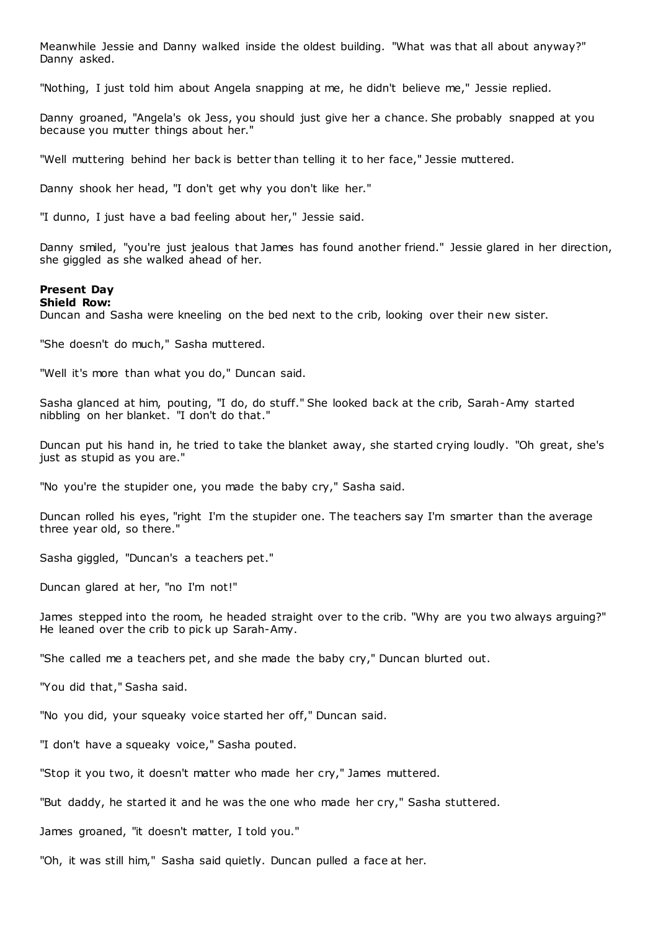Meanwhile Jessie and Danny walked inside the oldest building. "What was that all about anyway?" Danny asked.

"Nothing, I just told him about Angela snapping at me, he didn't believe me," Jessie replied.

Danny groaned, "Angela's ok Jess, you should just give her a chance. She probably snapped at you because you mutter things about her."

"Well muttering behind her back is better than telling it to her face," Jessie muttered.

Danny shook her head, "I don't get why you don't like her."

"I dunno, I just have a bad feeling about her," Jessie said.

Danny smiled, "you're just jealous that James has found another friend." Jessie glared in her direction, she giggled as she walked ahead of her.

# **Present Day**

**Shield Row:**

Duncan and Sasha were kneeling on the bed next to the crib, looking over their new sister.

"She doesn't do much," Sasha muttered.

"Well it's more than what you do," Duncan said.

Sasha glanced at him, pouting, "I do, do stuff." She looked back at the crib, Sarah-Amy started nibbling on her blanket. "I don't do that."

Duncan put his hand in, he tried to take the blanket away, she started crying loudly. "Oh great, she's just as stupid as you are."

"No you're the stupider one, you made the baby cry," Sasha said.

Duncan rolled his eyes, "right I'm the stupider one. The teachers say I'm smarter than the average three year old, so there."

Sasha giggled, "Duncan's a teachers pet."

Duncan glared at her, "no I'm not!"

James stepped into the room, he headed straight over to the crib. "Why are you two always arguing?" He leaned over the crib to pick up Sarah-Amy.

"She called me a teachers pet, and she made the baby cry," Duncan blurted out.

"You did that," Sasha said.

"No you did, your squeaky voice started her off," Duncan said.

"I don't have a squeaky voice," Sasha pouted.

"Stop it you two, it doesn't matter who made her cry," James muttered.

"But daddy, he started it and he was the one who made her cry," Sasha stuttered.

James groaned, "it doesn't matter, I told you."

"Oh, it was still him," Sasha said quietly. Duncan pulled a face at her.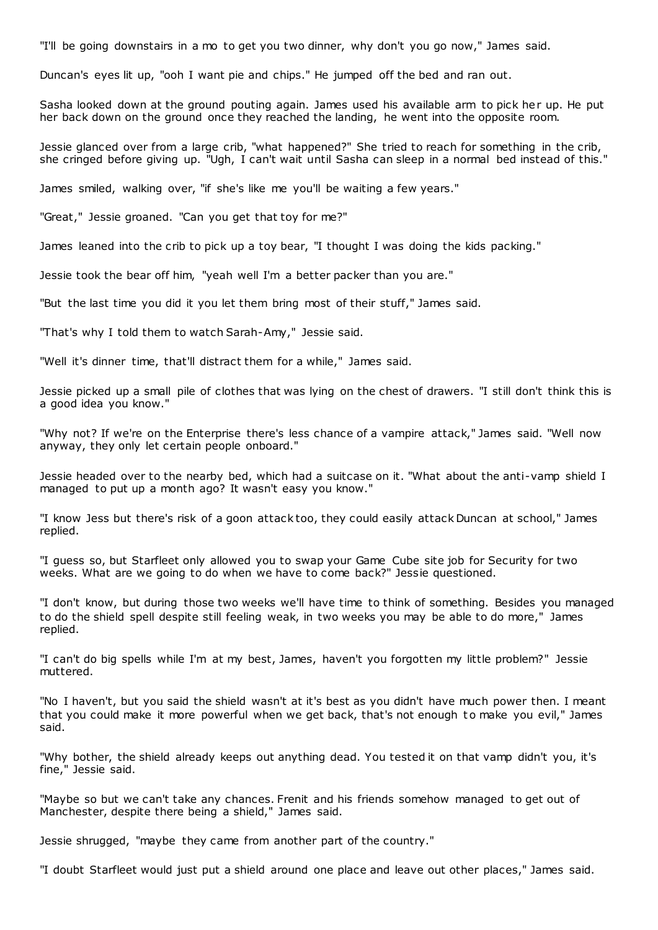"I'll be going downstairs in a mo to get you two dinner, why don't you go now," James said.

Duncan's eyes lit up, "ooh I want pie and chips." He jumped off the bed and ran out.

Sasha looked down at the ground pouting again. James used his available arm to pick her up. He put her back down on the ground once they reached the landing, he went into the opposite room.

Jessie glanced over from a large crib, "what happened?" She tried to reach for something in the crib, she cringed before giving up. "Ugh, I can't wait until Sasha can sleep in a normal bed instead of this."

James smiled, walking over, "if she's like me you'll be waiting a few years."

"Great," Jessie groaned. "Can you get that toy for me?"

James leaned into the crib to pick up a toy bear, "I thought I was doing the kids packing."

Jessie took the bear off him, "yeah well I'm a better packer than you are."

"But the last time you did it you let them bring most of their stuff," James said.

"That's why I told them to watch Sarah-Amy," Jessie said.

"Well it's dinner time, that'll distract them for a while," James said.

Jessie picked up a small pile of clothes that was lying on the chest of drawers. "I still don't think this is a good idea you know."

"Why not? If we're on the Enterprise there's less chance of a vampire attack," James said. "Well now anyway, they only let certain people onboard."

Jessie headed over to the nearby bed, which had a suitcase on it. "What about the anti-vamp shield I managed to put up a month ago? It wasn't easy you know."

"I know Jess but there's risk of a goon attack too, they could easily attack Duncan at school," James replied.

"I guess so, but Starfleet only allowed you to swap your Game Cube site job for Security for two weeks. What are we going to do when we have to come back?" Jessie questioned.

"I don't know, but during those two weeks we'll have time to think of something. Besides you managed to do the shield spell despite still feeling weak, in two weeks you may be able to do more," James replied.

"I can't do big spells while I'm at my best, James, haven't you forgotten my little problem?" Jessie muttered.

"No I haven't, but you said the shield wasn't at it's best as you didn't have much power then. I meant that you could make it more powerful when we get back, that's not enough to make you evil," James said.

"Why bother, the shield already keeps out anything dead. You tested it on that vamp didn't you, it's fine," Jessie said.

"Maybe so but we can't take any chances. Frenit and his friends somehow managed to get out of Manchester, despite there being a shield," James said.

Jessie shrugged, "maybe they came from another part of the country."

"I doubt Starfleet would just put a shield around one place and leave out other places," James said.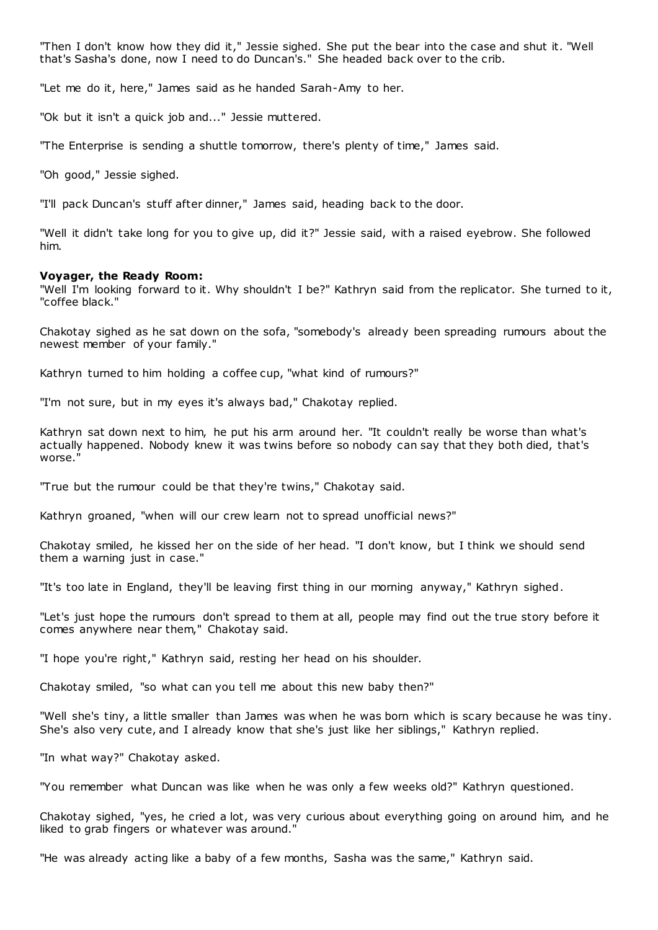"Then I don't know how they did it," Jessie sighed. She put the bear into the case and shut it. "Well that's Sasha's done, now I need to do Duncan's." She headed back over to the crib.

"Let me do it, here," James said as he handed Sarah-Amy to her.

"Ok but it isn't a quick job and..." Jessie muttered.

"The Enterprise is sending a shuttle tomorrow, there's plenty of time," James said.

"Oh good," Jessie sighed.

"I'll pack Duncan's stuff after dinner," James said, heading back to the door.

"Well it didn't take long for you to give up, did it?" Jessie said, with a raised eyebrow. She followed him.

## **Voyager, the Ready Room:**

"Well I'm looking forward to it. Why shouldn't I be?" Kathryn said from the replicator. She turned to it, "coffee black."

Chakotay sighed as he sat down on the sofa, "somebody's already been spreading rumours about the newest member of your family."

Kathryn turned to him holding a coffee cup, "what kind of rumours?"

"I'm not sure, but in my eyes it's always bad," Chakotay replied.

Kathryn sat down next to him, he put his arm around her. "It couldn't really be worse than what's actually happened. Nobody knew it was twins before so nobody can say that they both died, that's worse."

"True but the rumour could be that they're twins," Chakotay said.

Kathryn groaned, "when will our crew learn not to spread unofficial news?"

Chakotay smiled, he kissed her on the side of her head. "I don't know, but I think we should send them a warning just in case."

"It's too late in England, they'll be leaving first thing in our morning anyway," Kathryn sighed.

"Let's just hope the rumours don't spread to them at all, people may find out the true story before it comes anywhere near them," Chakotay said.

"I hope you're right," Kathryn said, resting her head on his shoulder.

Chakotay smiled, "so what can you tell me about this new baby then?"

"Well she's tiny, a little smaller than James was when he was born which is scary because he was tiny. She's also very cute, and I already know that she's just like her siblings," Kathryn replied.

"In what way?" Chakotay asked.

"You remember what Duncan was like when he was only a few weeks old?" Kathryn questioned.

Chakotay sighed, "yes, he cried a lot, was very curious about everything going on around him, and he liked to grab fingers or whatever was around."

"He was already acting like a baby of a few months, Sasha was the same," Kathryn said.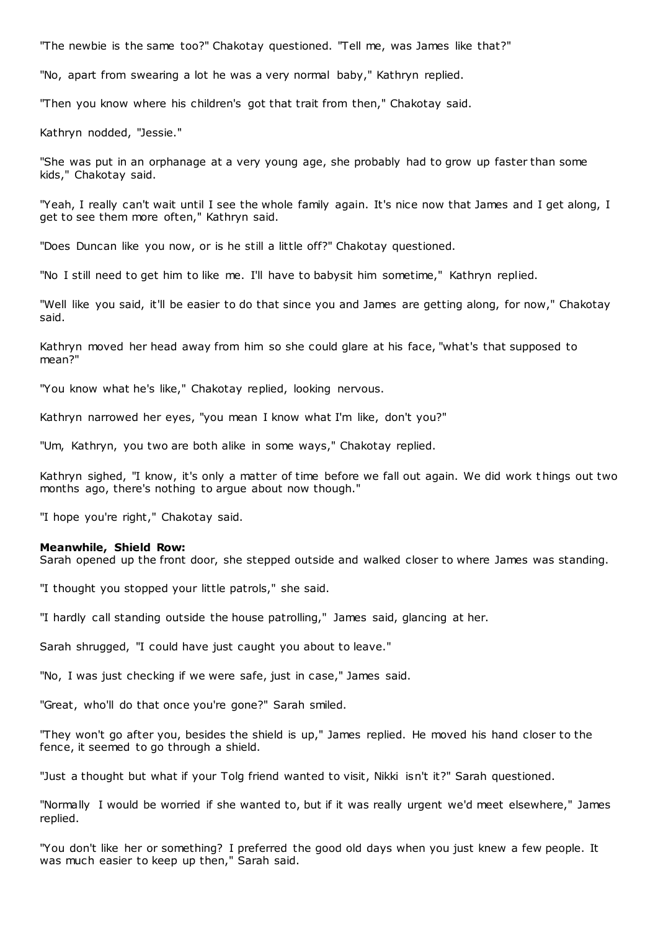"The newbie is the same too?" Chakotay questioned. "Tell me, was James like that?"

"No, apart from swearing a lot he was a very normal baby," Kathryn replied.

"Then you know where his children's got that trait from then," Chakotay said.

Kathryn nodded, "Jessie."

"She was put in an orphanage at a very young age, she probably had to grow up faster than some kids," Chakotay said.

"Yeah, I really can't wait until I see the whole family again. It's nice now that James and I get along, I get to see them more often," Kathryn said.

"Does Duncan like you now, or is he still a little off?" Chakotay questioned.

"No I still need to get him to like me. I'll have to babysit him sometime," Kathryn replied.

"Well like you said, it'll be easier to do that since you and James are getting along, for now," Chakotay said.

Kathryn moved her head away from him so she could glare at his face, "what's that supposed to mean?"

"You know what he's like," Chakotay replied, looking nervous.

Kathryn narrowed her eyes, "you mean I know what I'm like, don't you?"

"Um, Kathryn, you two are both alike in some ways," Chakotay replied.

Kathryn sighed, "I know, it's only a matter of time before we fall out again. We did work t hings out two months ago, there's nothing to argue about now though."

"I hope you're right," Chakotay said.

#### **Meanwhile, Shield Row:**

Sarah opened up the front door, she stepped outside and walked closer to where James was standing.

"I thought you stopped your little patrols," she said.

"I hardly call standing outside the house patrolling," James said, glancing at her.

Sarah shrugged, "I could have just caught you about to leave."

"No, I was just checking if we were safe, just in case," James said.

"Great, who'll do that once you're gone?" Sarah smiled.

"They won't go after you, besides the shield is up," James replied. He moved his hand closer to the fence, it seemed to go through a shield.

"Just a thought but what if your Tolg friend wanted to visit, Nikki isn't it?" Sarah questioned.

"Normally I would be worried if she wanted to, but if it was really urgent we'd meet elsewhere," James replied.

"You don't like her or something? I preferred the good old days when you just knew a few people. It was much easier to keep up then," Sarah said.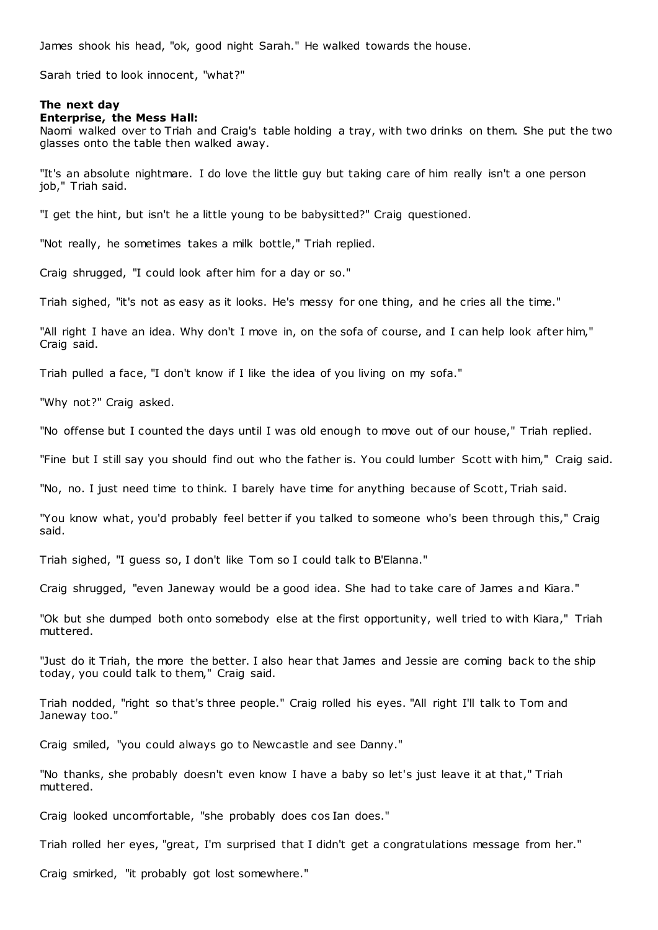James shook his head, "ok, good night Sarah." He walked towards the house.

Sarah tried to look innocent, "what?"

#### **The next day**

#### **Enterprise, the Mess Hall:**

Naomi walked over to Triah and Craig's table holding a tray, with two drinks on them. She put the two glasses onto the table then walked away.

"It's an absolute nightmare. I do love the little guy but taking care of him really isn't a one person job," Triah said.

"I get the hint, but isn't he a little young to be babysitted?" Craig questioned.

"Not really, he sometimes takes a milk bottle," Triah replied.

Craig shrugged, "I could look after him for a day or so."

Triah sighed, "it's not as easy as it looks. He's messy for one thing, and he cries all the time."

"All right I have an idea. Why don't I move in, on the sofa of course, and I can help look after him," Craig said.

Triah pulled a face, "I don't know if I like the idea of you living on my sofa."

"Why not?" Craig asked.

"No offense but I counted the days until I was old enough to move out of our house," Triah replied.

"Fine but I still say you should find out who the father is. You could lumber Scott with him," Craig said.

"No, no. I just need time to think. I barely have time for anything because of Scott, Triah said.

"You know what, you'd probably feel better if you talked to someone who's been through this," Craig said.

Triah sighed, "I guess so, I don't like Tom so I could talk to B'Elanna."

Craig shrugged, "even Janeway would be a good idea. She had to take care of James and Kiara."

"Ok but she dumped both onto somebody else at the first opportunity, well tried to with Kiara," Triah muttered.

"Just do it Triah, the more the better. I also hear that James and Jessie are coming back to the ship today, you could talk to them," Craig said.

Triah nodded, "right so that's three people." Craig rolled his eyes. "All right I'll talk to Tom and Janeway too."

Craig smiled, "you could always go to Newcastle and see Danny."

"No thanks, she probably doesn't even know I have a baby so let's just leave it at that," Triah muttered.

Craig looked uncomfortable, "she probably does cos Ian does."

Triah rolled her eyes, "great, I'm surprised that I didn't get a congratulations message from her."

Craig smirked, "it probably got lost somewhere."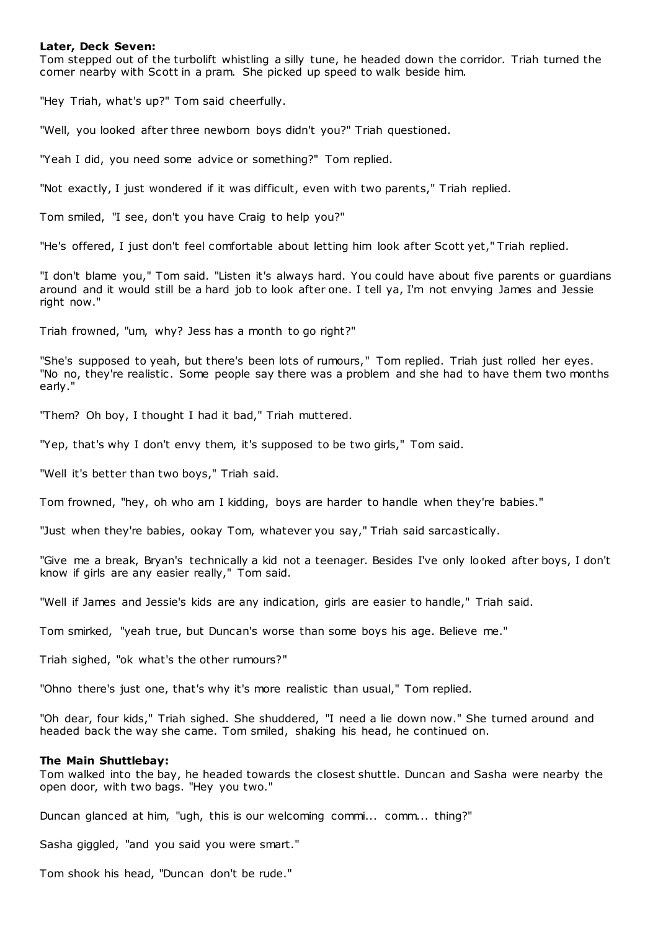## **Later, Deck Seven:**

Tom stepped out of the turbolift whistling a silly tune, he headed down the corridor. Triah turned the corner nearby with Scott in a pram. She picked up speed to walk beside him.

"Hey Triah, what's up?" Tom said cheerfully.

"Well, you looked after three newborn boys didn't you?" Triah questioned.

"Yeah I did, you need some advice or something?" Tom replied.

"Not exactly, I just wondered if it was difficult, even with two parents," Triah replied.

Tom smiled, "I see, don't you have Craig to help you?"

"He's offered, I just don't feel comfortable about letting him look after Scott yet," Triah replied.

"I don't blame you," Tom said. "Listen it's always hard. You could have about five parents or guardians around and it would still be a hard job to look after one. I tell ya, I'm not envying James and Jessie right now."

Triah frowned, "um, why? Jess has a month to go right?"

"She's supposed to yeah, but there's been lots of rumours," Tom replied. Triah just rolled her eyes. "No no, they're realistic . Some people say there was a problem and she had to have them two months early."

"Them? Oh boy, I thought I had it bad," Triah muttered.

"Yep, that's why I don't envy them, it's supposed to be two girls," Tom said.

"Well it's better than two boys," Triah said.

Tom frowned, "hey, oh who am I kidding, boys are harder to handle when they're babies."

"Just when they're babies, ookay Tom, whatever you say," Triah said sarcastically.

"Give me a break, Bryan's technically a kid not a teenager. Besides I've only looked after boys, I don't know if girls are any easier really," Tom said.

"Well if James and Jessie's kids are any indication, girls are easier to handle," Triah said.

Tom smirked, "yeah true, but Duncan's worse than some boys his age. Believe me."

Triah sighed, "ok what's the other rumours?"

"Ohno there's just one, that's why it's more realistic than usual," Tom replied.

"Oh dear, four kids," Triah sighed. She shuddered, "I need a lie down now." She turned around and headed back the way she came. Tom smiled, shaking his head, he continued on.

## **The Main Shuttlebay:**

Tom walked into the bay, he headed towards the closest shuttle. Duncan and Sasha were nearby the open door, with two bags. "Hey you two."

Duncan glanced at him, "ugh, this is our welcoming commi... comm... thing?"

Sasha giggled, "and you said you were smart."

Tom shook his head, "Duncan don't be rude."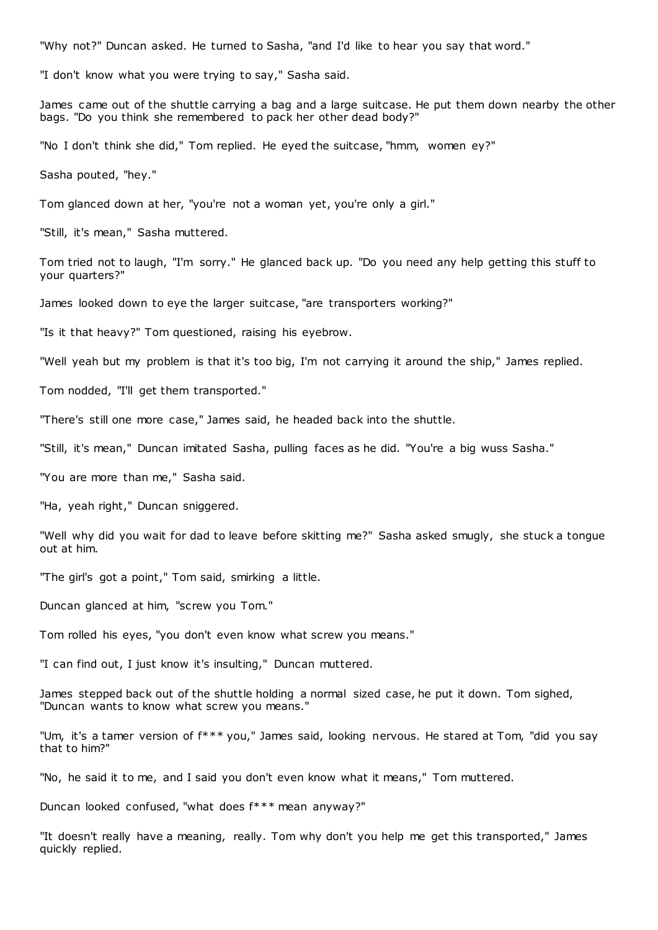"Why not?" Duncan asked. He turned to Sasha, "and I'd like to hear you say that word."

"I don't know what you were trying to say," Sasha said.

James came out of the shuttle carrying a bag and a large suitcase. He put them down nearby the other bags. "Do you think she remembered to pack her other dead body?"

"No I don't think she did," Tom replied. He eyed the suitcase, "hmm, women ey?"

Sasha pouted, "hey."

Tom glanced down at her, "you're not a woman yet, you're only a girl."

"Still, it's mean," Sasha muttered.

Tom tried not to laugh, "I'm sorry." He glanced back up. "Do you need any help getting this stuff to your quarters?"

James looked down to eye the larger suitcase, "are transporters working?"

"Is it that heavy?" Tom questioned, raising his eyebrow.

"Well yeah but my problem is that it's too big, I'm not carrying it around the ship," James replied.

Tom nodded, "I'll get them transported."

"There's still one more case," James said, he headed back into the shuttle.

"Still, it's mean," Duncan imitated Sasha, pulling faces as he did. "You're a big wuss Sasha."

"You are more than me," Sasha said.

"Ha, yeah right," Duncan sniggered.

"Well why did you wait for dad to leave before skitting me?" Sasha asked smugly, she stuck a tongue out at him.

"The girl's got a point," Tom said, smirking a little.

Duncan glanced at him, "screw you Tom."

Tom rolled his eyes, "you don't even know what screw you means."

"I can find out, I just know it's insulting," Duncan muttered.

James stepped back out of the shuttle holding a normal sized case, he put it down. Tom sighed, "Duncan wants to know what screw you means."

"Um, it's a tamer version of f\*\*\* you," James said, looking nervous. He stared at Tom, "did you say that to him?"

"No, he said it to me, and I said you don't even know what it means," Tom muttered.

Duncan looked confused, "what does f\*\*\* mean anyway?"

"It doesn't really have a meaning, really. Tom why don't you help me get this transported," James quickly replied.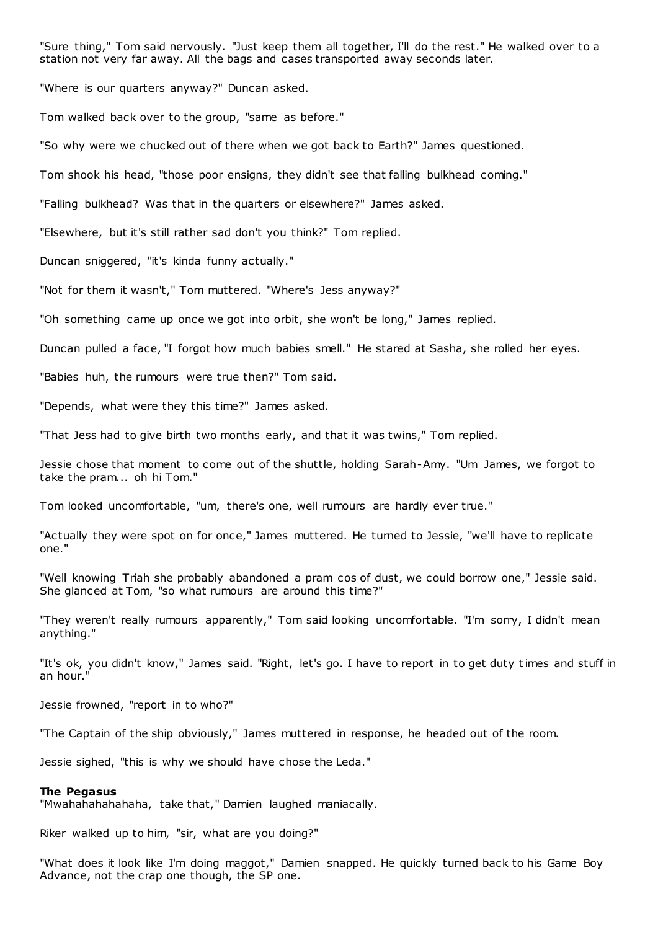"Sure thing," Tom said nervously. "Just keep them all together, I'll do the rest." He walked over to a station not very far away. All the bags and cases transported away seconds later.

"Where is our quarters anyway?" Duncan asked.

Tom walked back over to the group, "same as before."

"So why were we chucked out of there when we got back to Earth?" James questioned.

Tom shook his head, "those poor ensigns, they didn't see that falling bulkhead coming."

"Falling bulkhead? Was that in the quarters or elsewhere?" James asked.

"Elsewhere, but it's still rather sad don't you think?" Tom replied.

Duncan sniggered, "it's kinda funny actually."

"Not for them it wasn't," Tom muttered. "Where's Jess anyway?"

"Oh something came up once we got into orbit, she won't be long," James replied.

Duncan pulled a face, "I forgot how much babies smell." He stared at Sasha, she rolled her eyes.

"Babies huh, the rumours were true then?" Tom said.

"Depends, what were they this time?" James asked.

"That Jess had to give birth two months early, and that it was twins," Tom replied.

Jessie chose that moment to come out of the shuttle, holding Sarah-Amy. "Um James, we forgot to take the pram... oh hi Tom."

Tom looked uncomfortable, "um, there's one, well rumours are hardly ever true."

"Actually they were spot on for once," James muttered. He turned to Jessie, "we'll have to replicate one."

"Well knowing Triah she probably abandoned a pram cos of dust, we could borrow one," Jessie said. She glanced at Tom, "so what rumours are around this time?"

"They weren't really rumours apparently," Tom said looking uncomfortable. "I'm sorry, I didn't mean anything."

"It's ok, you didn't know," James said. "Right, let's go. I have to report in to get duty times and stuff in an hour."

Jessie frowned, "report in to who?"

"The Captain of the ship obviously," James muttered in response, he headed out of the room.

Jessie sighed, "this is why we should have chose the Leda."

#### **The Pegasus**

"Mwahahahahahaha, take that," Damien laughed maniacally.

Riker walked up to him, "sir, what are you doing?"

"What does it look like I'm doing maggot," Damien snapped. He quickly turned back to his Game Boy Advance, not the crap one though, the SP one.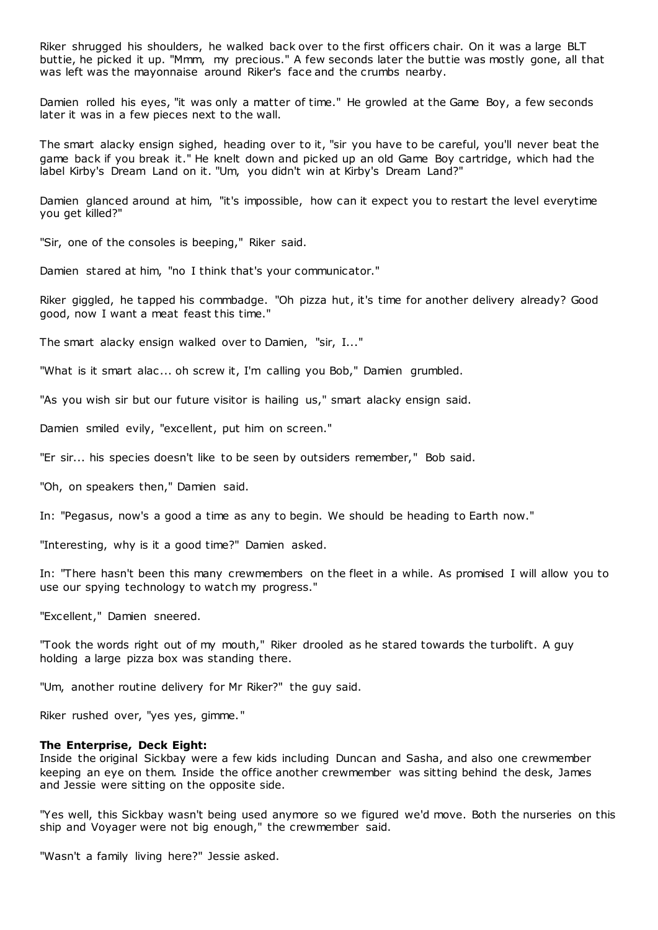Riker shrugged his shoulders, he walked back over to the first officers chair. On it was a large BLT buttie, he picked it up. "Mmm, my precious." A few seconds later the buttie was mostly gone, all that was left was the mayonnaise around Riker's face and the crumbs nearby.

Damien rolled his eyes, "it was only a matter of time." He growled at the Game Boy, a few seconds later it was in a few pieces next to the wall.

The smart alacky ensign sighed, heading over to it, "sir you have to be careful, you'll never beat the game back if you break it." He knelt down and picked up an old Game Boy cartridge, which had the label Kirby's Dream Land on it. "Um, you didn't win at Kirby's Dream Land?"

Damien glanced around at him, "it's impossible, how can it expect you to restart the level everytime you get killed?"

"Sir, one of the consoles is beeping," Riker said.

Damien stared at him, "no I think that's your communicator."

Riker giggled, he tapped his commbadge. "Oh pizza hut, it's time for another delivery already? Good good, now I want a meat feast this time."

The smart alacky ensign walked over to Damien, "sir, I..."

"What is it smart alac ... oh screw it, I'm calling you Bob," Damien grumbled.

"As you wish sir but our future visitor is hailing us," smart alacky ensign said.

Damien smiled evily, "excellent, put him on screen."

"Er sir... his species doesn't like to be seen by outsiders remember," Bob said.

"Oh, on speakers then," Damien said.

In: "Pegasus, now's a good a time as any to begin. We should be heading to Earth now."

"Interesting, why is it a good time?" Damien asked.

In: "There hasn't been this many crewmembers on the fleet in a while. As promised I will allow you to use our spying technology to watch my progress."

"Excellent," Damien sneered.

"Took the words right out of my mouth," Riker drooled as he stared towards the turbolift. A guy holding a large pizza box was standing there.

"Um, another routine delivery for Mr Riker?" the guy said.

Riker rushed over, "yes yes, gimme."

## **The Enterprise, Deck Eight:**

Inside the original Sickbay were a few kids including Duncan and Sasha, and also one crewmember keeping an eye on them. Inside the office another crewmember was sitting behind the desk, James and Jessie were sitting on the opposite side.

"Yes well, this Sickbay wasn't being used anymore so we figured we'd move. Both the nurseries on this ship and Voyager were not big enough," the crewmember said.

"Wasn't a family living here?" Jessie asked.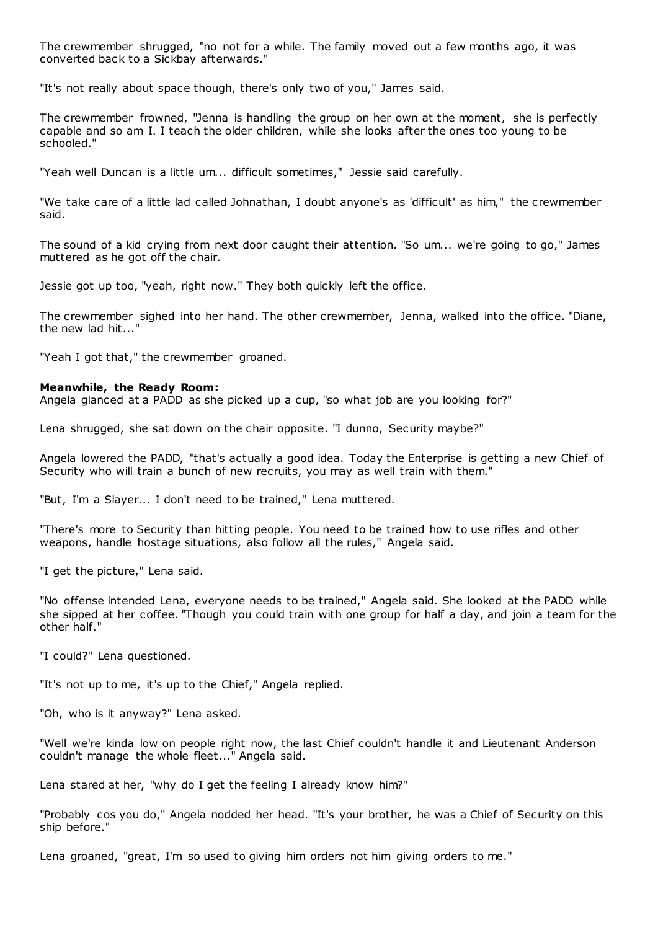The crewmember shrugged, "no not for a while. The family moved out a few months ago, it was converted back to a Sickbay afterwards."

"It's not really about space though, there's only two of you," James said.

The crewmember frowned, "Jenna is handling the group on her own at the moment, she is perfectly capable and so am I. I teach the older children, while she looks after the ones too young to be schooled."

"Yeah well Duncan is a little um... difficult sometimes," Jessie said carefully.

"We take care of a little lad called Johnathan, I doubt anyone's as 'difficult' as him," the crewmember said.

The sound of a kid crying from next door caught their attention. "So um... we're going to go," James muttered as he got off the chair.

Jessie got up too, "yeah, right now." They both quickly left the office.

The crewmember sighed into her hand. The other crewmember, Jenna, walked into the office. "Diane, the new  $lad$  hit...

"Yeah I got that," the crewmember groaned.

#### **Meanwhile, the Ready Room:**

Angela glanced at a PADD as she picked up a cup, "so what job are you looking for?"

Lena shrugged, she sat down on the chair opposite. "I dunno, Security maybe?"

Angela lowered the PADD, "that's actually a good idea. Today the Enterprise is getting a new Chief of Security who will train a bunch of new recruits, you may as well train with them."

"But, I'm a Slayer... I don't need to be trained," Lena muttered.

"There's more to Security than hitting people. You need to be trained how to use rifles and other weapons, handle hostage situations, also follow all the rules," Angela said.

"I get the picture," Lena said.

"No offense intended Lena, everyone needs to be trained," Angela said. She looked at the PADD while she sipped at her coffee. "Though you could train with one group for half a day, and join a team for the other half."

"I could?" Lena questioned.

"It's not up to me, it's up to the Chief," Angela replied.

"Oh, who is it anyway?" Lena asked.

"Well we're kinda low on people right now, the last Chief couldn't handle it and Lieutenant Anderson couldn't manage the whole fleet..." Angela said.

Lena stared at her, "why do I get the feeling I already know him?"

"Probably cos you do," Angela nodded her head. "It's your brother, he was a Chief of Security on this ship before."

Lena groaned, "great, I'm so used to giving him orders not him giving orders to me."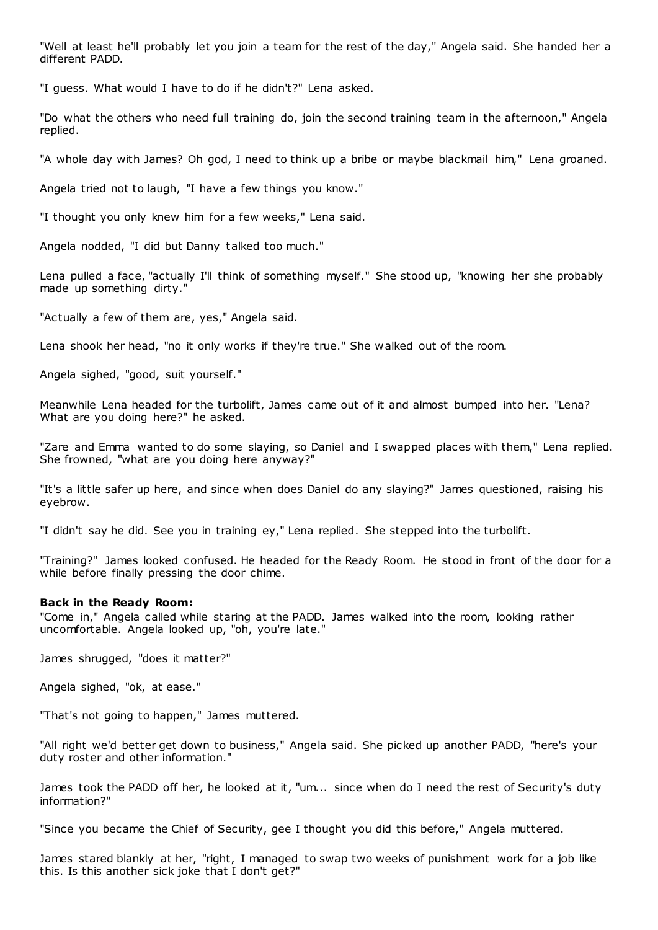"Well at least he'll probably let you join a team for the rest of the day," Angela said. She handed her a different PADD.

"I guess. What would I have to do if he didn't?" Lena asked.

"Do what the others who need full training do, join the second training team in the afternoon," Angela replied.

"A whole day with James? Oh god, I need to think up a bribe or maybe blackmail him," Lena groaned.

Angela tried not to laugh, "I have a few things you know."

"I thought you only knew him for a few weeks," Lena said.

Angela nodded, "I did but Danny talked too much."

Lena pulled a face, "actually I'll think of something myself." She stood up, "knowing her she probably made up something dirty."

"Actually a few of them are, yes," Angela said.

Lena shook her head, "no it only works if they're true." She walked out of the room.

Angela sighed, "good, suit yourself."

Meanwhile Lena headed for the turbolift, James came out of it and almost bumped into her. "Lena? What are you doing here?" he asked.

"Zare and Emma wanted to do some slaying, so Daniel and I swapped places with them," Lena replied. She frowned, "what are you doing here anyway?"

"It's a little safer up here, and since when does Daniel do any slaying?" James questioned, raising his eyebrow.

"I didn't say he did. See you in training ey," Lena replied. She stepped into the turbolift.

"Training?" James looked confused. He headed for the Ready Room. He stood in front of the door for a while before finally pressing the door chime.

## **Back in the Ready Room:**

"Come in," Angela called while staring at the PADD. James walked into the room, looking rather uncomfortable. Angela looked up, "oh, you're late."

James shrugged, "does it matter?"

Angela sighed, "ok, at ease."

"That's not going to happen," James muttered.

"All right we'd better get down to business," Angela said. She picked up another PADD, "here's your duty roster and other information."

James took the PADD off her, he looked at it, "um... since when do I need the rest of Security's duty information?"

"Since you became the Chief of Security, gee I thought you did this before," Angela muttered.

James stared blankly at her, "right, I managed to swap two weeks of punishment work for a job like this. Is this another sick joke that I don't get?"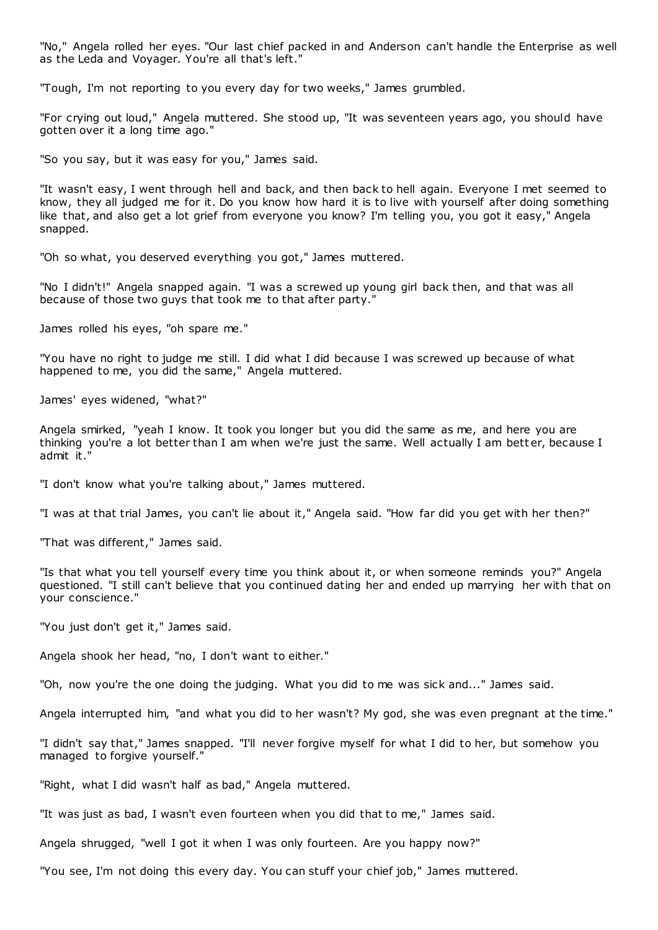"No," Angela rolled her eyes. "Our last chief packed in and Anderson can't handle the Enterprise as well as the Leda and Voyager. You're all that's left."

"Tough, I'm not reporting to you every day for two weeks," James grumbled.

"For crying out loud," Angela muttered. She stood up, "It was seventeen years ago, you should have gotten over it a long time ago."

"So you say, but it was easy for you," James said.

"It wasn't easy, I went through hell and back, and then back to hell again. Everyone I met seemed to know, they all judged me for it. Do you know how hard it is to live with yourself after doing something like that, and also get a lot grief from everyone you know? I'm telling you, you got it easy," Angela snapped.

"Oh so what, you deserved everything you got," James muttered.

"No I didn't!" Angela snapped again. "I was a screwed up young girl back then, and that was all because of those two guys that took me to that after party."

James rolled his eyes, "oh spare me."

"You have no right to judge me still. I did what I did because I was screwed up because of what happened to me, you did the same," Angela muttered.

James' eyes widened, "what?"

Angela smirked, "yeah I know. It took you longer but you did the same as me, and here you are thinking you're a lot better than I am when we're just the same. Well actually I am bett er, because I admit it."

"I don't know what you're talking about," James muttered.

"I was at that trial James, you can't lie about it," Angela said. "How far did you get with her then?"

"That was different," James said.

"Is that what you tell yourself every time you think about it, or when someone reminds you?" Angela questioned. "I still can't believe that you continued dating her and ended up marrying her with that on your conscience."

"You just don't get it," James said.

Angela shook her head, "no, I don't want to either."

"Oh, now you're the one doing the judging. What you did to me was sick and..." James said.

Angela interrupted him, "and what you did to her wasn't? My god, she was even pregnant at the time."

"I didn't say that," James snapped. "I'll never forgive myself for what I did to her, but somehow you managed to forgive yourself."

"Right, what I did wasn't half as bad," Angela muttered.

"It was just as bad, I wasn't even fourteen when you did that to me," James said.

Angela shrugged, "well I got it when I was only fourteen. Are you happy now?"

"You see, I'm not doing this every day. You can stuff your chief job," James muttered.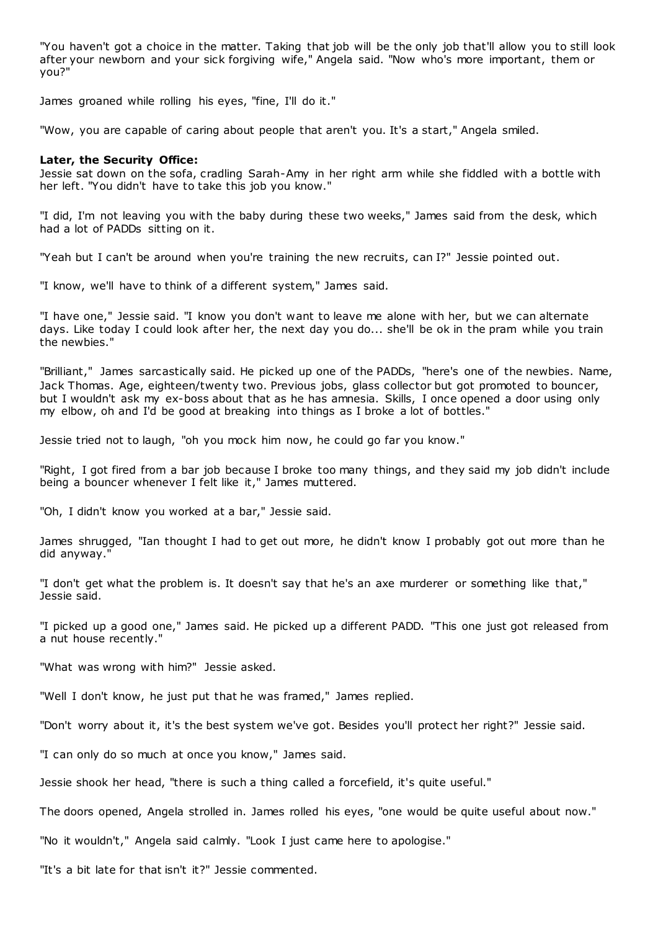"You haven't got a choice in the matter. Taking that job will be the only job that'll allow you to still look after your newborn and your sick forgiving wife," Angela said. "Now who's more important, them or you?"

James groaned while rolling his eyes, "fine, I'll do it."

"Wow, you are capable of caring about people that aren't you. It's a start," Angela smiled.

## **Later, the Security Office:**

Jessie sat down on the sofa, cradling Sarah-Amy in her right arm while she fiddled with a bottle with her left. "You didn't have to take this job you know."

"I did, I'm not leaving you with the baby during these two weeks," James said from the desk, which had a lot of PADDs sitting on it.

"Yeah but I can't be around when you're training the new recruits, can I?" Jessie pointed out.

"I know, we'll have to think of a different system," James said.

"I have one," Jessie said. "I know you don't want to leave me alone with her, but we can alternate days. Like today I could look after her, the next day you do... she'll be ok in the pram while you train the newbies."

"Brilliant," James sarcastically said. He picked up one of the PADDs, "here's one of the newbies. Name, Jack Thomas. Age, eighteen/twenty two. Previous jobs, glass collector but got promoted to bouncer, but I wouldn't ask my ex-boss about that as he has amnesia. Skills, I once opened a door using only my elbow, oh and I'd be good at breaking into things as I broke a lot of bottles."

Jessie tried not to laugh, "oh you mock him now, he could go far you know."

"Right, I got fired from a bar job because I broke too many things, and they said my job didn't include being a bouncer whenever I felt like it," James muttered.

"Oh, I didn't know you worked at a bar," Jessie said.

James shrugged, "Ian thought I had to get out more, he didn't know I probably got out more than he did anyway."

"I don't get what the problem is. It doesn't say that he's an axe murderer or something like that," Jessie said.

"I picked up a good one," James said. He picked up a different PADD. "This one just got released from a nut house recently."

"What was wrong with him?" Jessie asked.

"Well I don't know, he just put that he was framed," James replied.

"Don't worry about it, it's the best system we've got. Besides you'll protect her right?" Jessie said.

"I can only do so much at once you know," James said.

Jessie shook her head, "there is such a thing called a forcefield, it's quite useful."

The doors opened, Angela strolled in. James rolled his eyes, "one would be quite useful about now."

"No it wouldn't," Angela said calmly. "Look I just came here to apologise."

"It's a bit late for that isn't it?" Jessie commented.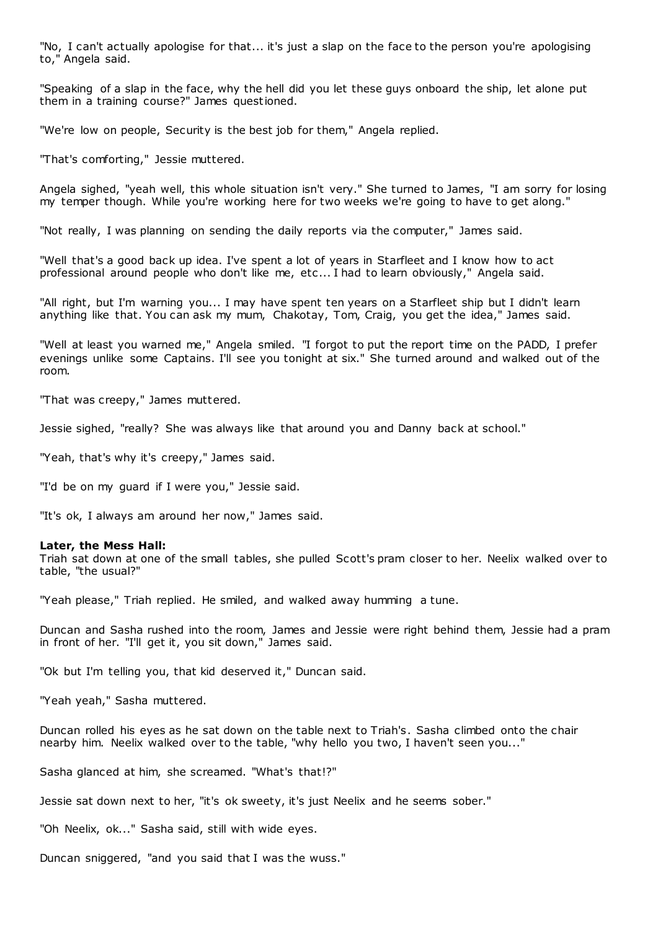"No, I can't actually apologise for that... it's just a slap on the face to the person you're apologising to," Angela said.

"Speaking of a slap in the face, why the hell did you let these guys onboard the ship, let alone put them in a training course?" James questioned.

"We're low on people, Security is the best job for them," Angela replied.

"That's comforting," Jessie muttered.

Angela sighed, "yeah well, this whole situation isn't very." She turned to James, "I am sorry for losing my temper though. While you're working here for two weeks we're going to have to get along."

"Not really, I was planning on sending the daily reports via the computer," James said.

"Well that's a good back up idea. I've spent a lot of years in Starfleet and I know how to act professional around people who don't like me, etc ... I had to learn obviously," Angela said.

"All right, but I'm warning you... I may have spent ten years on a Starfleet ship but I didn't learn anything like that. You can ask my mum, Chakotay, Tom, Craig, you get the idea," James said.

"Well at least you warned me," Angela smiled. "I forgot to put the report time on the PADD, I prefer evenings unlike some Captains. I'll see you tonight at six." She turned around and walked out of the room.

"That was creepy," James muttered.

Jessie sighed, "really? She was always like that around you and Danny back at school."

"Yeah, that's why it's creepy," James said.

"I'd be on my guard if I were you," Jessie said.

"It's ok, I always am around her now," James said.

#### **Later, the Mess Hall:**

Triah sat down at one of the small tables, she pulled Scott's pram closer to her. Neelix walked over to table, "the usual?"

"Yeah please," Triah replied. He smiled, and walked away humming a tune.

Duncan and Sasha rushed into the room, James and Jessie were right behind them, Jessie had a pram in front of her. "I'll get it, you sit down," James said.

"Ok but I'm telling you, that kid deserved it," Duncan said.

"Yeah yeah," Sasha muttered.

Duncan rolled his eyes as he sat down on the table next to Triah's. Sasha climbed onto the chair nearby him. Neelix walked over to the table, "why hello you two, I haven't seen you..."

Sasha glanced at him, she screamed. "What's that!?"

Jessie sat down next to her, "it's ok sweety, it's just Neelix and he seems sober."

"Oh Neelix, ok..." Sasha said, still with wide eyes.

Duncan sniggered, "and you said that I was the wuss."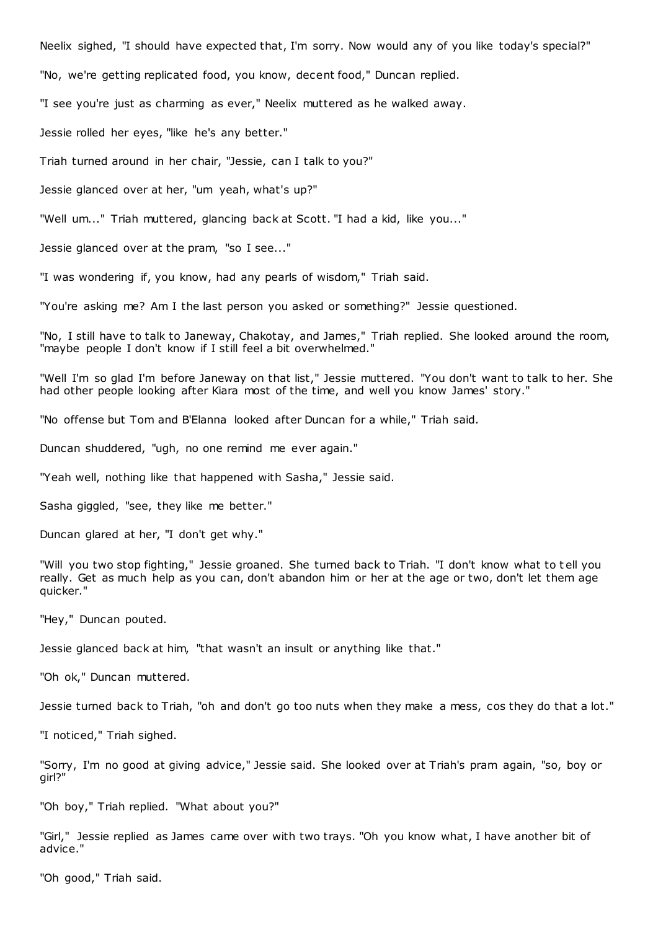Neelix sighed, "I should have expected that, I'm sorry. Now would any of you like today's special?"

"No, we're getting replicated food, you know, decent food," Duncan replied.

"I see you're just as charming as ever," Neelix muttered as he walked away.

Jessie rolled her eyes, "like he's any better."

Triah turned around in her chair, "Jessie, can I talk to you?"

Jessie glanced over at her, "um yeah, what's up?"

"Well um..." Triah muttered, glancing back at Scott. "I had a kid, like you..."

Jessie glanced over at the pram, "so I see..."

"I was wondering if, you know, had any pearls of wisdom," Triah said.

"You're asking me? Am I the last person you asked or something?" Jessie questioned.

"No, I still have to talk to Janeway, Chakotay, and James," Triah replied. She looked around the room, "maybe people I don't know if I still feel a bit overwhelmed."

"Well I'm so glad I'm before Janeway on that list," Jessie muttered. "You don't want to talk to her. She had other people looking after Kiara most of the time, and well you know James' story."

"No offense but Tom and B'Elanna looked after Duncan for a while," Triah said.

Duncan shuddered, "ugh, no one remind me ever again."

"Yeah well, nothing like that happened with Sasha," Jessie said.

Sasha giggled, "see, they like me better."

Duncan glared at her, "I don't get why."

"Will you two stop fighting," Jessie groaned. She turned back to Triah. "I don't know what to t ell you really. Get as much help as you can, don't abandon him or her at the age or two, don't let them age quicker."

"Hey," Duncan pouted.

Jessie glanced back at him, "that wasn't an insult or anything like that."

"Oh ok," Duncan muttered.

Jessie turned back to Triah, "oh and don't go too nuts when they make a mess, cos they do that a lot."

"I noticed," Triah sighed.

"Sorry, I'm no good at giving advice," Jessie said. She looked over at Triah's pram again, "so, boy or girl?"

"Oh boy," Triah replied. "What about you?"

"Girl," Jessie replied as James came over with two trays. "Oh you know what, I have another bit of advice."

"Oh good," Triah said.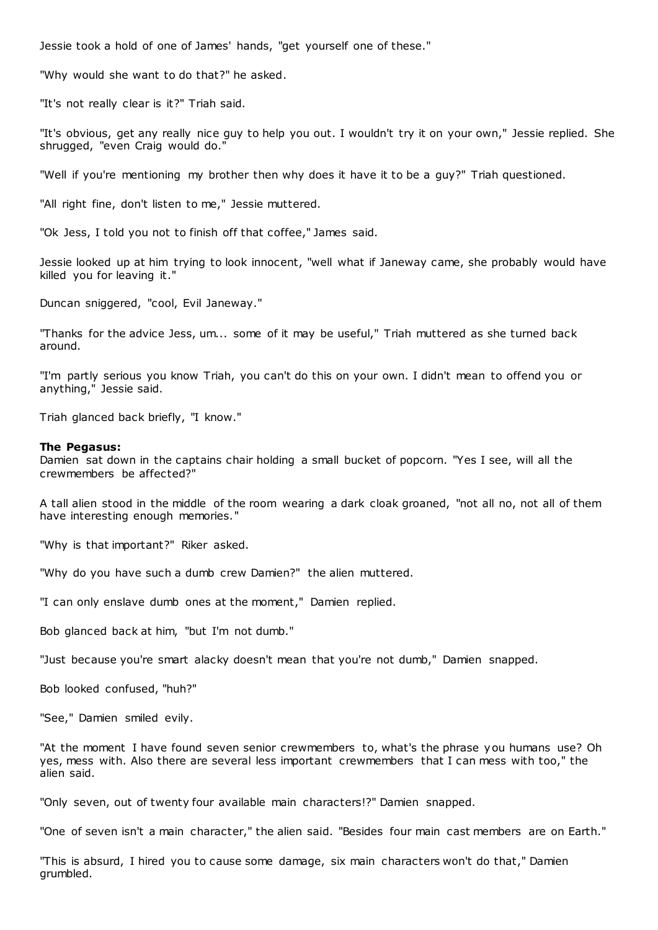Jessie took a hold of one of James' hands, "get yourself one of these."

"Why would she want to do that?" he asked.

"It's not really clear is it?" Triah said.

"It's obvious, get any really nice guy to help you out. I wouldn't try it on your own," Jessie replied. She shrugged, "even Craig would do."

"Well if you're mentioning my brother then why does it have it to be a guy?" Triah questioned.

"All right fine, don't listen to me," Jessie muttered.

"Ok Jess, I told you not to finish off that coffee," James said.

Jessie looked up at him trying to look innocent, "well what if Janeway came, she probably would have killed you for leaving it."

Duncan sniggered, "cool, Evil Janeway."

"Thanks for the advice Jess, um... some of it may be useful," Triah muttered as she turned back around.

"I'm partly serious you know Triah, you can't do this on your own. I didn't mean to offend you or anything," Jessie said.

Triah glanced back briefly, "I know."

## **The Pegasus:**

Damien sat down in the captains chair holding a small bucket of popcorn. "Yes I see, will all the crewmembers be affected?"

A tall alien stood in the middle of the room wearing a dark cloak groaned, "not all no, not all of them have interesting enough memories."

"Why is that important?" Riker asked.

"Why do you have such a dumb crew Damien?" the alien muttered.

"I can only enslave dumb ones at the moment," Damien replied.

Bob glanced back at him, "but I'm not dumb."

"Just because you're smart alacky doesn't mean that you're not dumb," Damien snapped.

Bob looked confused, "huh?"

"See," Damien smiled evily.

"At the moment I have found seven senior crewmembers to, what's the phrase you humans use? Oh yes, mess with. Also there are several less important crewmembers that I can mess with too," the alien said.

"Only seven, out of twenty four available main characters!?" Damien snapped.

"One of seven isn't a main character," the alien said. "Besides four main cast members are on Earth."

"This is absurd, I hired you to cause some damage, six main characters won't do that," Damien grumbled.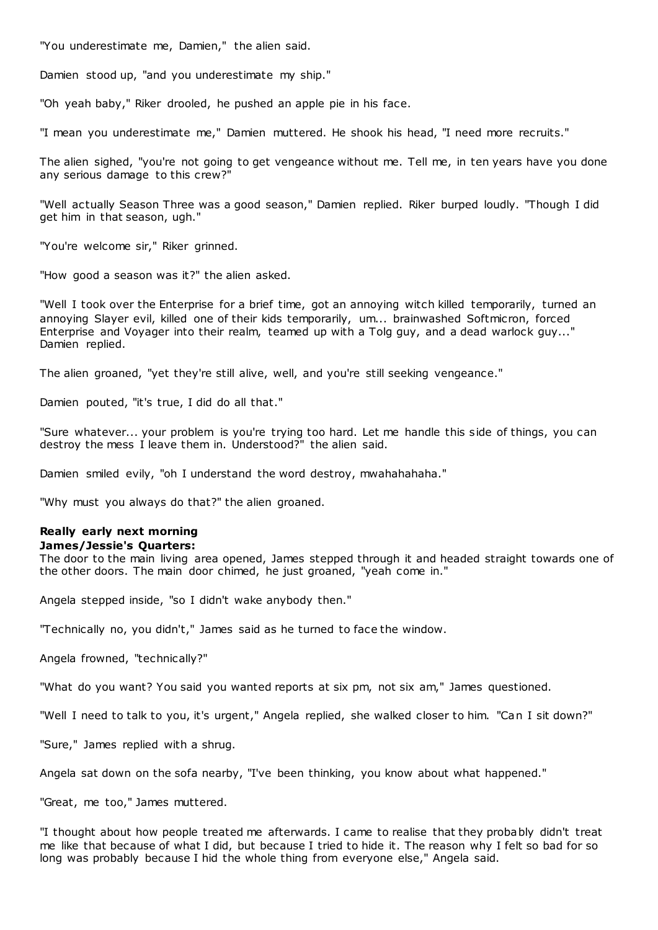"You underestimate me, Damien," the alien said.

Damien stood up, "and you underestimate my ship."

"Oh yeah baby," Riker drooled, he pushed an apple pie in his face.

"I mean you underestimate me," Damien muttered. He shook his head, "I need more recruits."

The alien sighed, "you're not going to get vengeance without me. Tell me, in ten years have you done any serious damage to this crew?"

"Well actually Season Three was a good season," Damien replied. Riker burped loudly. "Though I did get him in that season, ugh."

"You're welcome sir," Riker grinned.

"How good a season was it?" the alien asked.

"Well I took over the Enterprise for a brief time, got an annoying witch killed temporarily, turned an annoying Slayer evil, killed one of their kids temporarily, um... brainwashed Softmicron, forced Enterprise and Voyager into their realm, teamed up with a Tolg guy, and a dead warlock guy..." Damien replied.

The alien groaned, "yet they're still alive, well, and you're still seeking vengeance."

Damien pouted, "it's true, I did do all that."

"Sure whatever... your problem is you're trying too hard. Let me handle this side of things, you can destroy the mess I leave them in. Understood?" the alien said.

Damien smiled evily, "oh I understand the word destroy, mwahahahaha."

"Why must you always do that?" the alien groaned.

## **Really early next morning James/Jessie's Quarters:**

The door to the main living area opened, James stepped through it and headed straight towards one of

the other doors. The main door chimed, he just groaned, "yeah come in."

Angela stepped inside, "so I didn't wake anybody then."

"Technically no, you didn't," James said as he turned to face the window.

Angela frowned, "technically?"

"What do you want? You said you wanted reports at six pm, not six am," James questioned.

"Well I need to talk to you, it's urgent," Angela replied, she walked closer to him. "Can I sit down?"

"Sure," James replied with a shrug.

Angela sat down on the sofa nearby, "I've been thinking, you know about what happened."

"Great, me too," James muttered.

"I thought about how people treated me afterwards. I came to realise that they probably didn't treat me like that because of what I did, but because I tried to hide it. The reason why I felt so bad for so long was probably because I hid the whole thing from everyone else," Angela said.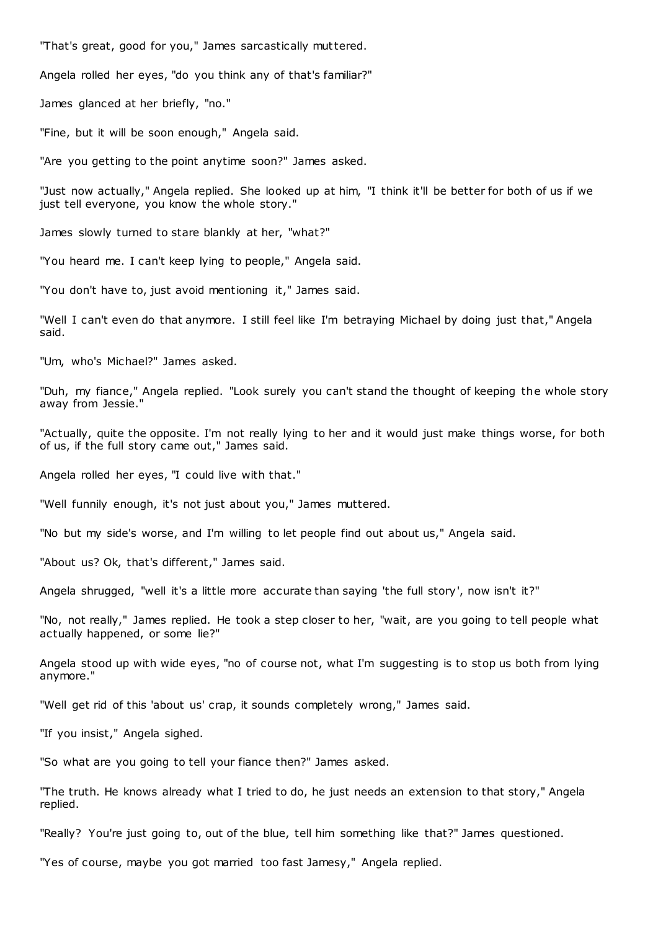"That's great, good for you," James sarcastically muttered.

Angela rolled her eyes, "do you think any of that's familiar?"

James glanced at her briefly, "no."

"Fine, but it will be soon enough," Angela said.

"Are you getting to the point anytime soon?" James asked.

"Just now actually," Angela replied. She looked up at him, "I think it'll be better for both of us if we just tell everyone, you know the whole story."

James slowly turned to stare blankly at her, "what?"

"You heard me. I can't keep lying to people," Angela said.

"You don't have to, just avoid mentioning it," James said.

"Well I can't even do that anymore. I still feel like I'm betraying Michael by doing just that," Angela said.

"Um, who's Michael?" James asked.

"Duh, my fiance," Angela replied. "Look surely you can't stand the thought of keeping the whole story away from Jessie."

"Actually, quite the opposite. I'm not really lying to her and it would just make things worse, for both of us, if the full story came out," James said.

Angela rolled her eyes, "I could live with that."

"Well funnily enough, it's not just about you," James muttered.

"No but my side's worse, and I'm willing to let people find out about us," Angela said.

"About us? Ok, that's different," James said.

Angela shrugged, "well it's a little more accurate than saying 'the full story', now isn't it?"

"No, not really," James replied. He took a step closer to her, "wait, are you going to tell people what actually happened, or some lie?"

Angela stood up with wide eyes, "no of course not, what I'm suggesting is to stop us both from lying anymore."

"Well get rid of this 'about us' crap, it sounds completely wrong," James said.

"If you insist," Angela sighed.

"So what are you going to tell your fiance then?" James asked.

"The truth. He knows already what I tried to do, he just needs an extension to that story," Angela replied.

"Really? You're just going to, out of the blue, tell him something like that?" James questioned.

"Yes of course, maybe you got married too fast Jamesy," Angela replied.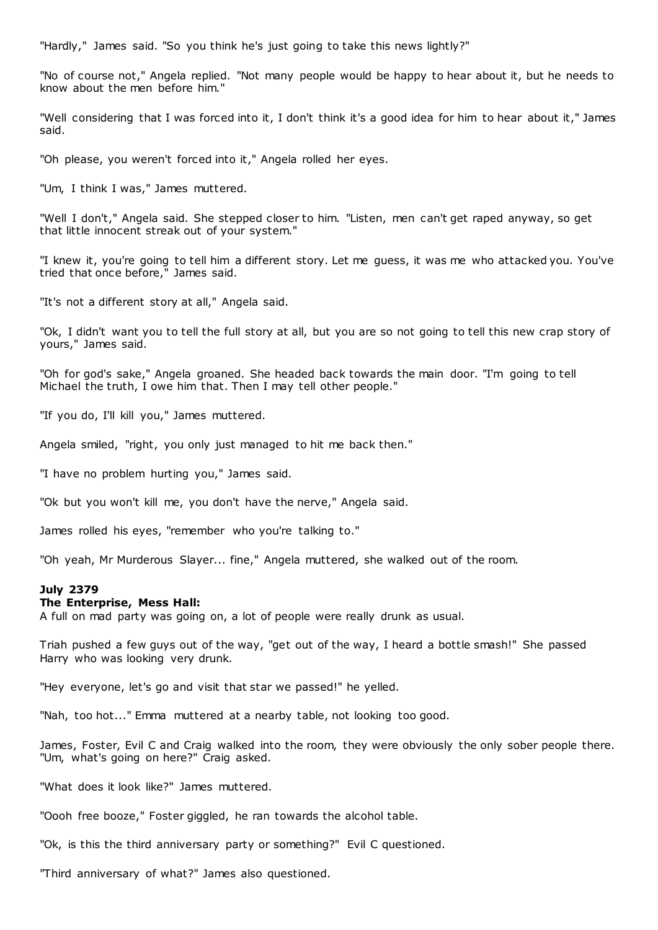"Hardly," James said. "So you think he's just going to take this news lightly?"

"No of course not," Angela replied. "Not many people would be happy to hear about it, but he needs to know about the men before him."

"Well considering that I was forced into it, I don't think it's a good idea for him to hear about it," James said.

"Oh please, you weren't forced into it," Angela rolled her eyes.

"Um, I think I was," James muttered.

"Well I don't," Angela said. She stepped closer to him. "Listen, men can't get raped anyway, so get that little innocent streak out of your system."

"I knew it, you're going to tell him a different story. Let me guess, it was me who attacked you. You've tried that once before," James said.

"It's not a different story at all," Angela said.

"Ok, I didn't want you to tell the full story at all, but you are so not going to tell this new crap story of yours," James said.

"Oh for god's sake," Angela groaned. She headed back towards the main door. "I'm going to tell Michael the truth, I owe him that. Then I may tell other people."

"If you do, I'll kill you," James muttered.

Angela smiled, "right, you only just managed to hit me back then."

"I have no problem hurting you," James said.

"Ok but you won't kill me, you don't have the nerve," Angela said.

James rolled his eyes, "remember who you're talking to."

"Oh yeah, Mr Murderous Slayer... fine," Angela muttered, she walked out of the room.

## **July 2379**

## **The Enterprise, Mess Hall:**

A full on mad party was going on, a lot of people were really drunk as usual.

Triah pushed a few guys out of the way, "get out of the way, I heard a bottle smash!" She passed Harry who was looking very drunk.

"Hey everyone, let's go and visit that star we passed!" he yelled.

"Nah, too hot..." Emma muttered at a nearby table, not looking too good.

James, Foster, Evil C and Craig walked into the room, they were obviously the only sober people there. "Um, what's going on here?" Craig asked.

"What does it look like?" James muttered.

"Oooh free booze," Foster giggled, he ran towards the alcohol table.

"Ok, is this the third anniversary party or something?" Evil C questioned.

"Third anniversary of what?" James also questioned.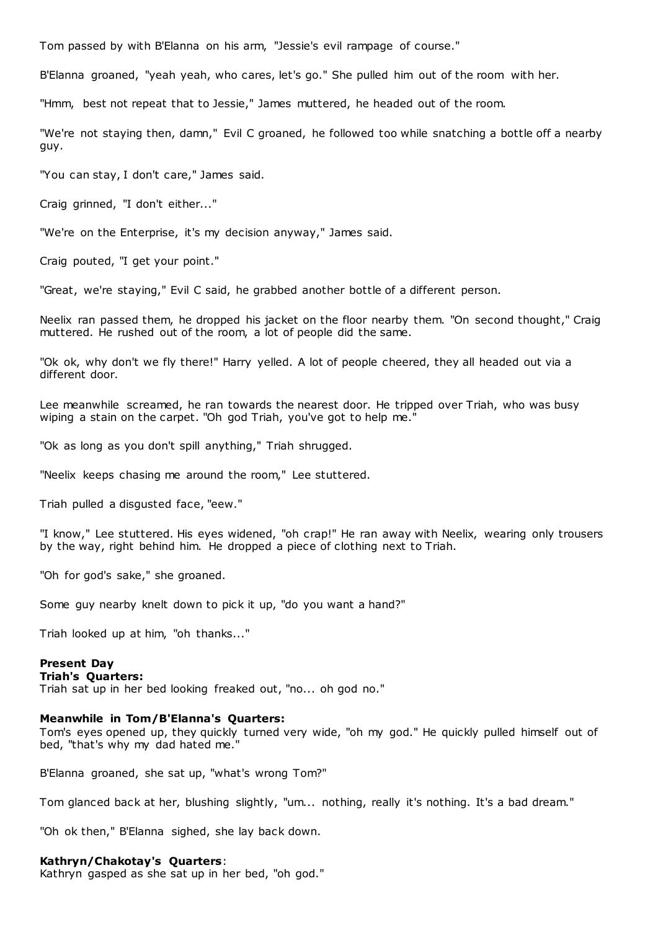Tom passed by with B'Elanna on his arm, "Jessie's evil rampage of course."

B'Elanna groaned, "yeah yeah, who cares, let's go." She pulled him out of the room with her.

"Hmm, best not repeat that to Jessie," James muttered, he headed out of the room.

"We're not staying then, damn," Evil C groaned, he followed too while snatching a bottle off a nearby guy.

"You can stay, I don't care," James said.

Craig grinned, "I don't either..."

"We're on the Enterprise, it's my decision anyway," James said.

Craig pouted, "I get your point."

"Great, we're staying," Evil C said, he grabbed another bottle of a different person.

Neelix ran passed them, he dropped his jacket on the floor nearby them. "On second thought," Craig muttered. He rushed out of the room, a lot of people did the same.

"Ok ok, why don't we fly there!" Harry yelled. A lot of people cheered, they all headed out via a different door.

Lee meanwhile screamed, he ran towards the nearest door. He tripped over Triah, who was busy wiping a stain on the carpet. "Oh god Triah, you've got to help me."

"Ok as long as you don't spill anything," Triah shrugged.

"Neelix keeps chasing me around the room," Lee stuttered.

Triah pulled a disgusted face, "eew."

"I know," Lee stuttered. His eyes widened, "oh crap!" He ran away with Neelix, wearing only trousers by the way, right behind him. He dropped a piece of clothing next to Triah.

"Oh for god's sake," she groaned.

Some guy nearby knelt down to pick it up, "do you want a hand?"

Triah looked up at him, "oh thanks..."

## **Present Day**

# **Triah's Quarters:**

Triah sat up in her bed looking freaked out, "no... oh god no."

## **Meanwhile in Tom/B'Elanna's Quarters:**

Tom's eyes opened up, they quickly turned very wide, "oh my god." He quickly pulled himself out of bed, "that's why my dad hated me."

B'Elanna groaned, she sat up, "what's wrong Tom?"

Tom glanced back at her, blushing slightly, "um... nothing, really it's nothing. It's a bad dream."

"Oh ok then," B'Elanna sighed, she lay back down.

#### **Kathryn/Chakotay's Quarters**:

Kathryn gasped as she sat up in her bed, "oh god."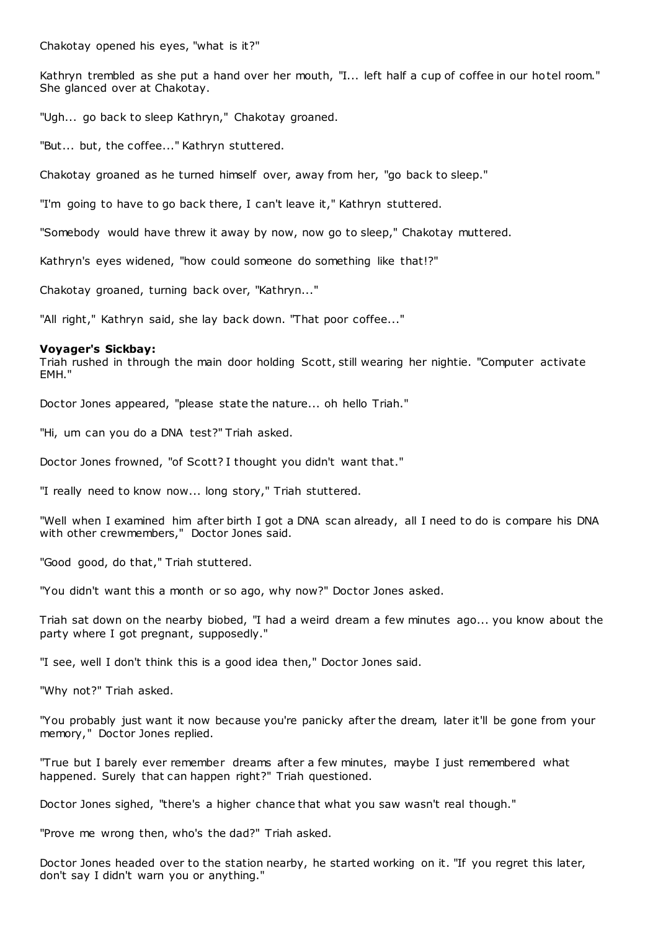Chakotay opened his eyes, "what is it?"

Kathryn trembled as she put a hand over her mouth, "I... left half a cup of coffee in our hotel room." She glanced over at Chakotay.

"Ugh... go back to sleep Kathryn," Chakotay groaned.

"But... but, the coffee..." Kathryn stuttered.

Chakotay groaned as he turned himself over, away from her, "go back to sleep."

"I'm going to have to go back there, I can't leave it," Kathryn stuttered.

"Somebody would have threw it away by now, now go to sleep," Chakotay muttered.

Kathryn's eyes widened, "how could someone do something like that!?"

Chakotay groaned, turning back over, "Kathryn..."

"All right," Kathryn said, she lay back down. "That poor coffee..."

## **Voyager's Sickbay:**

Triah rushed in through the main door holding Scott, still wearing her nightie. "Computer activate EMH."

Doctor Jones appeared, "please state the nature... oh hello Triah."

"Hi, um can you do a DNA test?" Triah asked.

Doctor Jones frowned, "of Scott? I thought you didn't want that."

"I really need to know now... long story," Triah stuttered.

"Well when I examined him after birth I got a DNA scan already, all I need to do is compare his DNA with other crewmembers," Doctor Jones said.

"Good good, do that," Triah stuttered.

"You didn't want this a month or so ago, why now?" Doctor Jones asked.

Triah sat down on the nearby biobed, "I had a weird dream a few minutes ago... you know about the party where I got pregnant, supposedly."

"I see, well I don't think this is a good idea then," Doctor Jones said.

"Why not?" Triah asked.

"You probably just want it now because you're panicky after the dream, later it'll be gone from your memory," Doctor Jones replied.

"True but I barely ever remember dreams after a few minutes, maybe I just remembered what happened. Surely that can happen right?" Triah questioned.

Doctor Jones sighed, "there's a higher chance that what you saw wasn't real though."

"Prove me wrong then, who's the dad?" Triah asked.

Doctor Jones headed over to the station nearby, he started working on it. "If you regret this later, don't say I didn't warn you or anything."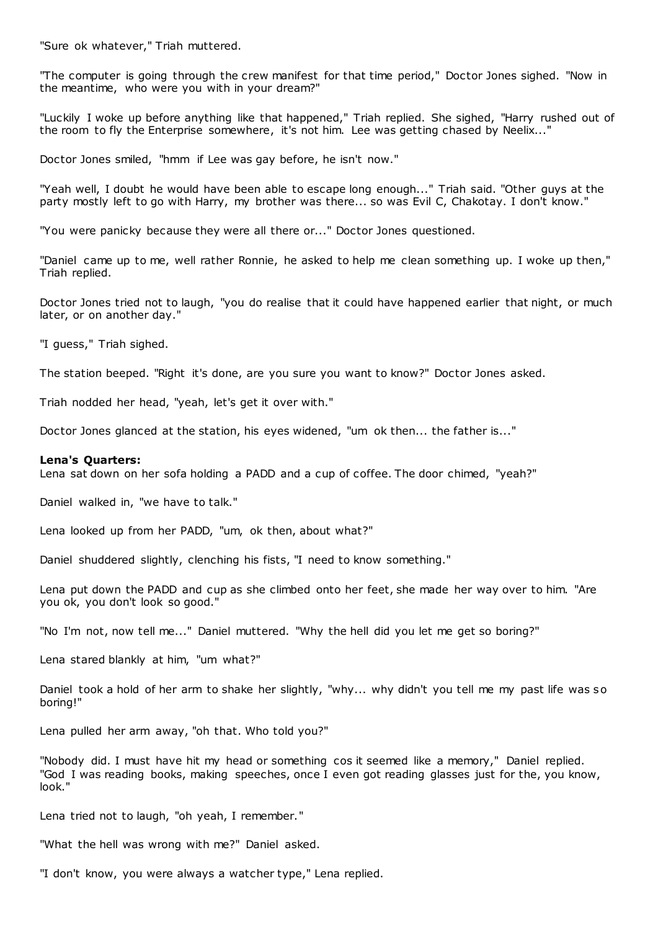"Sure ok whatever," Triah muttered.

"The computer is going through the crew manifest for that time period," Doctor Jones sighed. "Now in the meantime, who were you with in your dream?"

"Luckily I woke up before anything like that happened," Triah replied. She sighed, "Harry rushed out of the room to fly the Enterprise somewhere, it's not him. Lee was getting chased by Neelix..."

Doctor Jones smiled, "hmm if Lee was gay before, he isn't now."

"Yeah well, I doubt he would have been able to escape long enough..." Triah said. "Other guys at the party mostly left to go with Harry, my brother was there... so was Evil C, Chakotay. I don't know."

"You were panicky because they were all there or..." Doctor Jones questioned.

"Daniel came up to me, well rather Ronnie, he asked to help me clean something up. I woke up then," Triah replied.

Doctor Jones tried not to laugh, "you do realise that it could have happened earlier that night, or much later, or on another day."

"I guess," Triah sighed.

The station beeped. "Right it's done, are you sure you want to know?" Doctor Jones asked.

Triah nodded her head, "yeah, let's get it over with."

Doctor Jones glanced at the station, his eyes widened, "um ok then... the father is..."

## **Lena's Quarters:**

Lena sat down on her sofa holding a PADD and a cup of coffee. The door chimed, "yeah?"

Daniel walked in, "we have to talk."

Lena looked up from her PADD, "um, ok then, about what?"

Daniel shuddered slightly, clenching his fists, "I need to know something."

Lena put down the PADD and cup as she climbed onto her feet, she made her way over to him. "Are you ok, you don't look so good."

"No I'm not, now tell me..." Daniel muttered. "Why the hell did you let me get so boring?"

Lena stared blankly at him, "um what?"

Daniel took a hold of her arm to shake her slightly, "why... why didn't you tell me my past life was so boring!"

Lena pulled her arm away, "oh that. Who told you?"

"Nobody did. I must have hit my head or something cos it seemed like a memory," Daniel replied. "God I was reading books, making speeches, once I even got reading glasses just for the, you know, look."

Lena tried not to laugh, "oh yeah, I remember."

"What the hell was wrong with me?" Daniel asked.

"I don't know, you were always a watcher type," Lena replied.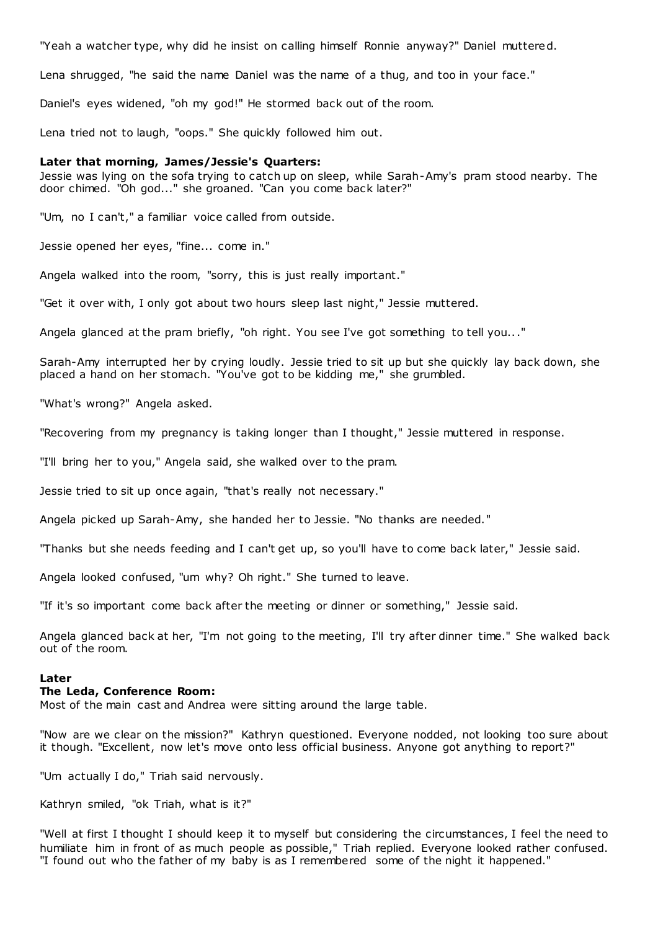"Yeah a watcher type, why did he insist on calling himself Ronnie anyway?" Daniel muttered.

Lena shrugged, "he said the name Daniel was the name of a thug, and too in your face."

Daniel's eyes widened, "oh my god!" He stormed back out of the room.

Lena tried not to laugh, "oops." She quickly followed him out.

## **Later that morning, James/Jessie's Quarters:**

Jessie was lying on the sofa trying to catch up on sleep, while Sarah-Amy's pram stood nearby. The door chimed. "Oh god..." she groaned. "Can you come back later?"

"Um, no I can't," a familiar voice called from outside.

Jessie opened her eyes, "fine... come in."

Angela walked into the room, "sorry, this is just really important."

"Get it over with, I only got about two hours sleep last night," Jessie muttered.

Angela glanced at the pram briefly, "oh right. You see I've got something to tell you..."

Sarah-Amy interrupted her by crying loudly. Jessie tried to sit up but she quickly lay back down, she placed a hand on her stomach. "You've got to be kidding me," she grumbled.

"What's wrong?" Angela asked.

"Recovering from my pregnancy is taking longer than I thought," Jessie muttered in response.

"I'll bring her to you," Angela said, she walked over to the pram.

Jessie tried to sit up once again, "that's really not necessary."

Angela picked up Sarah-Amy, she handed her to Jessie. "No thanks are needed."

"Thanks but she needs feeding and I can't get up, so you'll have to come back later," Jessie said.

Angela looked confused, "um why? Oh right." She turned to leave.

"If it's so important come back after the meeting or dinner or something," Jessie said.

Angela glanced back at her, "I'm not going to the meeting, I'll try after dinner time." She walked back out of the room.

## **Later**

## **The Leda, Conference Room:**

Most of the main cast and Andrea were sitting around the large table.

"Now are we clear on the mission?" Kathryn questioned. Everyone nodded, not looking too sure about it though. "Excellent, now let's move onto less official business. Anyone got anything to report?"

"Um actually I do," Triah said nervously.

Kathryn smiled, "ok Triah, what is it?"

"Well at first I thought I should keep it to myself but considering the circumstances, I feel the need to humiliate him in front of as much people as possible," Triah replied. Everyone looked rather confused. "I found out who the father of my baby is as I remembered some of the night it happened."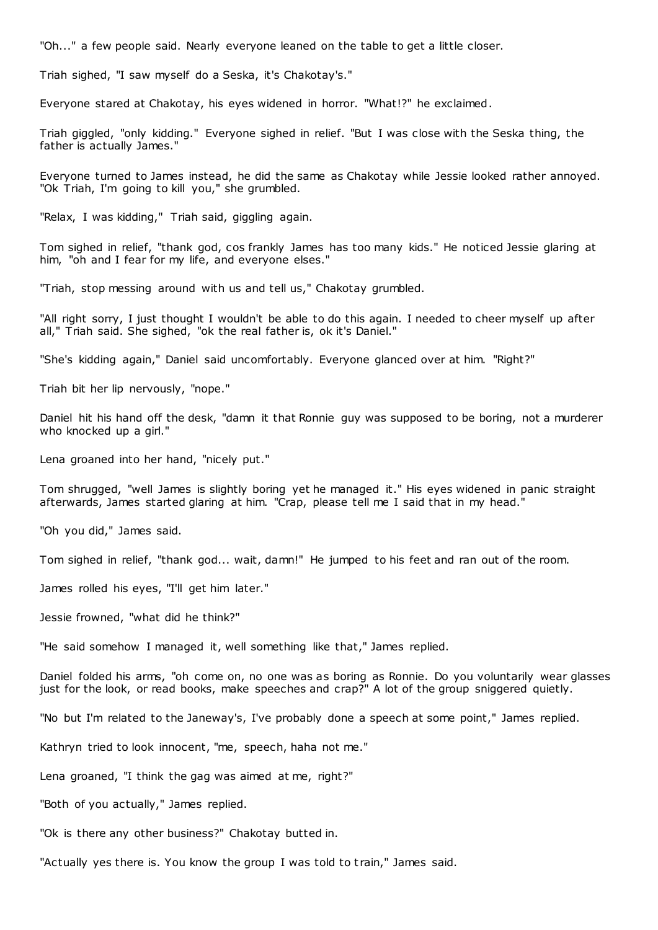"Oh..." a few people said. Nearly everyone leaned on the table to get a little closer.

Triah sighed, "I saw myself do a Seska, it's Chakotay's."

Everyone stared at Chakotay, his eyes widened in horror. "What!?" he exclaimed.

Triah giggled, "only kidding." Everyone sighed in relief. "But I was close with the Seska thing, the father is actually James."

Everyone turned to James instead, he did the same as Chakotay while Jessie looked rather annoyed. "Ok Triah, I'm going to kill you," she grumbled.

"Relax, I was kidding," Triah said, giggling again.

Tom sighed in relief, "thank god, cos frankly James has too many kids." He noticed Jessie glaring at him, "oh and I fear for my life, and everyone elses."

"Triah, stop messing around with us and tell us," Chakotay grumbled.

"All right sorry, I just thought I wouldn't be able to do this again. I needed to cheer myself up after all," Triah said. She sighed, "ok the real father is, ok it's Daniel."

"She's kidding again," Daniel said uncomfortably. Everyone glanced over at him. "Right?"

Triah bit her lip nervously, "nope."

Daniel hit his hand off the desk, "damn it that Ronnie guy was supposed to be boring, not a murderer who knocked up a girl."

Lena groaned into her hand, "nicely put."

Tom shrugged, "well James is slightly boring yet he managed it." His eyes widened in panic straight afterwards, James started glaring at him. "Crap, please tell me I said that in my head."

"Oh you did," James said.

Tom sighed in relief, "thank god... wait, damn!" He jumped to his feet and ran out of the room.

James rolled his eyes, "I'll get him later."

Jessie frowned, "what did he think?"

"He said somehow I managed it, well something like that," James replied.

Daniel folded his arms, "oh come on, no one was as boring as Ronnie. Do you voluntarily wear glasses just for the look, or read books, make speeches and crap?" A lot of the group sniggered quietly.

"No but I'm related to the Janeway's, I've probably done a speech at some point," James replied.

Kathryn tried to look innocent, "me, speech, haha not me."

Lena groaned, "I think the gag was aimed at me, right?"

"Both of you actually," James replied.

"Ok is there any other business?" Chakotay butted in.

"Actually yes there is. You know the group I was told to train," James said.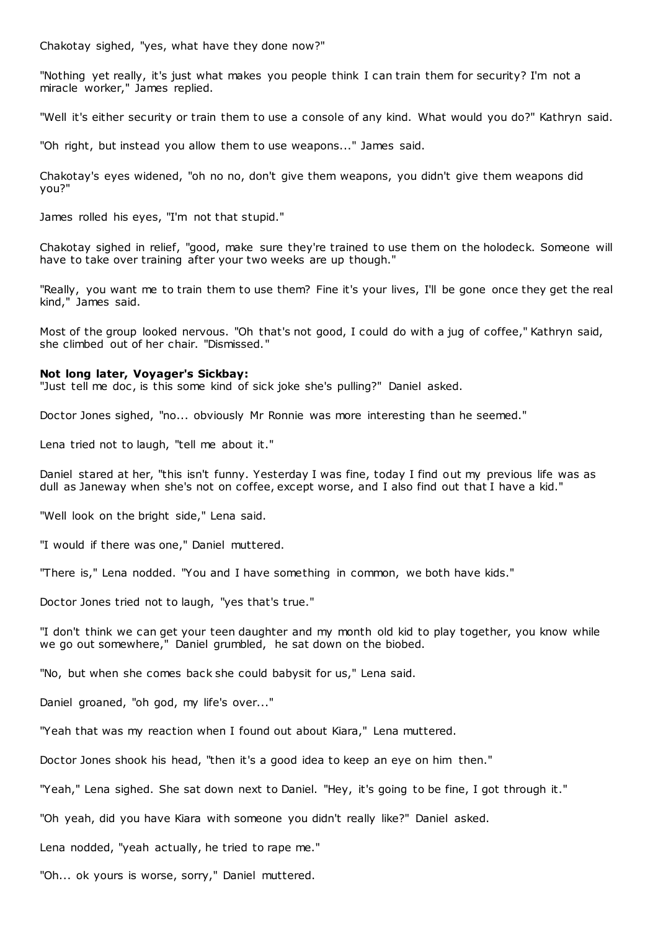Chakotay sighed, "yes, what have they done now?"

"Nothing yet really, it's just what makes you people think I can train them for security? I'm not a miracle worker," James replied.

"Well it's either security or train them to use a console of any kind. What would you do?" Kathryn said.

"Oh right, but instead you allow them to use weapons..." James said.

Chakotay's eyes widened, "oh no no, don't give them weapons, you didn't give them weapons did you?"

James rolled his eyes, "I'm not that stupid."

Chakotay sighed in relief, "good, make sure they're trained to use them on the holodeck. Someone will have to take over training after your two weeks are up though."

"Really, you want me to train them to use them? Fine it's your lives, I'll be gone once they get the real kind," James said.

Most of the group looked nervous. "Oh that's not good, I could do with a jug of coffee," Kathryn said, she climbed out of her chair. "Dismissed."

## **Not long later, Voyager's Sickbay:**

"Just tell me doc, is this some kind of sick joke she's pulling?" Daniel asked.

Doctor Jones sighed, "no... obviously Mr Ronnie was more interesting than he seemed."

Lena tried not to laugh, "tell me about it."

Daniel stared at her, "this isn't funny. Yesterday I was fine, today I find out my previous life was as dull as Janeway when she's not on coffee, except worse, and I also find out that I have a kid."

"Well look on the bright side," Lena said.

"I would if there was one," Daniel muttered.

"There is," Lena nodded. "You and I have something in common, we both have kids."

Doctor Jones tried not to laugh, "yes that's true."

"I don't think we can get your teen daughter and my month old kid to play together, you know while we go out somewhere," Daniel grumbled, he sat down on the biobed.

"No, but when she comes back she could babysit for us," Lena said.

Daniel groaned, "oh god, my life's over..."

"Yeah that was my reaction when I found out about Kiara," Lena muttered.

Doctor Jones shook his head, "then it's a good idea to keep an eye on him then."

"Yeah," Lena sighed. She sat down next to Daniel. "Hey, it's going to be fine, I got through it."

"Oh yeah, did you have Kiara with someone you didn't really like?" Daniel asked.

Lena nodded, "yeah actually, he tried to rape me."

"Oh... ok yours is worse, sorry," Daniel muttered.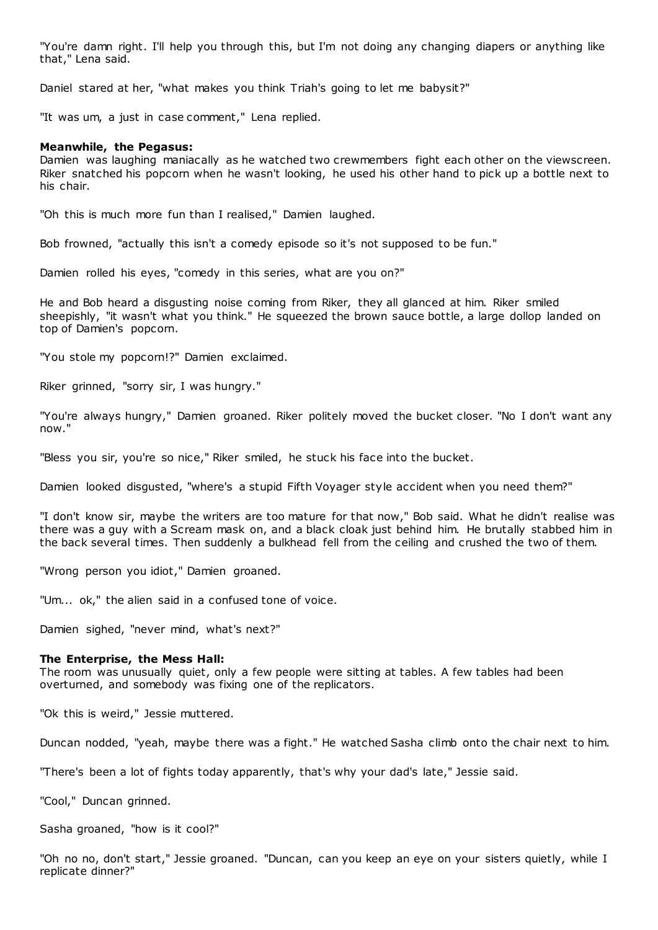"You're damn right. I'll help you through this, but I'm not doing any changing diapers or anything like that," Lena said.

Daniel stared at her, "what makes you think Triah's going to let me babysit?"

"It was um, a just in case comment," Lena replied.

## **Meanwhile, the Pegasus:**

Damien was laughing maniacally as he watched two crewmembers fight each other on the viewscreen. Riker snatched his popcorn when he wasn't looking, he used his other hand to pick up a bottle next to his chair.

"Oh this is much more fun than I realised," Damien laughed.

Bob frowned, "actually this isn't a comedy episode so it's not supposed to be fun."

Damien rolled his eyes, "comedy in this series, what are you on?"

He and Bob heard a disgusting noise coming from Riker, they all glanced at him. Riker smiled sheepishly, "it wasn't what you think." He squeezed the brown sauce bottle, a large dollop landed on top of Damien's popcorn.

"You stole my popcorn!?" Damien exclaimed.

Riker grinned, "sorry sir, I was hungry."

"You're always hungry," Damien groaned. Riker politely moved the bucket closer. "No I don't want any now."

"Bless you sir, you're so nice," Riker smiled, he stuck his face into the bucket.

Damien looked disgusted, "where's a stupid Fifth Voyager style accident when you need them?"

"I don't know sir, maybe the writers are too mature for that now," Bob said. What he didn't realise was there was a guy with a Scream mask on, and a black cloak just behind him. He brutally stabbed him in the back several times. Then suddenly a bulkhead fell from the ceiling and crushed the two of them.

"Wrong person you idiot," Damien groaned.

"Um... ok," the alien said in a confused tone of voice.

Damien sighed, "never mind, what's next?"

## **The Enterprise, the Mess Hall:**

The room was unusually quiet, only a few people were sitting at tables. A few tables had been overturned, and somebody was fixing one of the replicators.

"Ok this is weird," Jessie muttered.

Duncan nodded, "yeah, maybe there was a fight." He watched Sasha climb onto the chair next to him.

"There's been a lot of fights today apparently, that's why your dad's late," Jessie said.

"Cool," Duncan grinned.

Sasha groaned, "how is it cool?"

"Oh no no, don't start," Jessie groaned. "Duncan, can you keep an eye on your sisters quietly, while I replicate dinner?"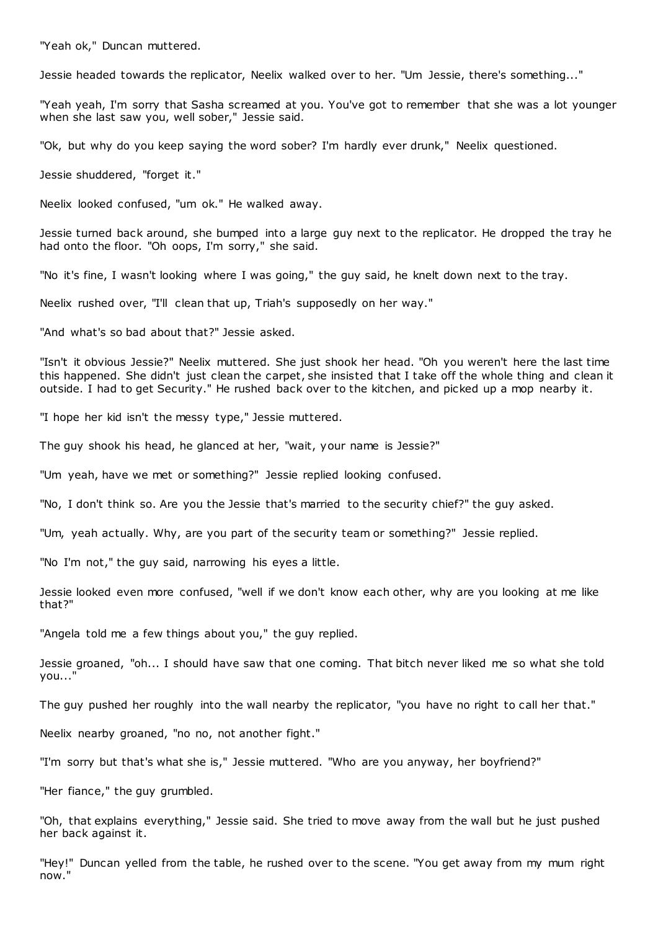"Yeah ok," Duncan muttered.

Jessie headed towards the replicator, Neelix walked over to her. "Um Jessie, there's something..."

"Yeah yeah, I'm sorry that Sasha screamed at you. You've got to remember that she was a lot younger when she last saw you, well sober," Jessie said.

"Ok, but why do you keep saying the word sober? I'm hardly ever drunk," Neelix questioned.

Jessie shuddered, "forget it."

Neelix looked confused, "um ok." He walked away.

Jessie turned back around, she bumped into a large guy next to the replicator. He dropped the tray he had onto the floor. "Oh oops, I'm sorry," she said.

"No it's fine, I wasn't looking where I was going," the guy said, he knelt down next to the tray.

Neelix rushed over, "I'll clean that up, Triah's supposedly on her way."

"And what's so bad about that?" Jessie asked.

"Isn't it obvious Jessie?" Neelix muttered. She just shook her head. "Oh you weren't here the last time this happened. She didn't just clean the carpet, she insisted that I take off the whole thing and clean it outside. I had to get Security." He rushed back over to the kitchen, and picked up a mop nearby it.

"I hope her kid isn't the messy type," Jessie muttered.

The guy shook his head, he glanced at her, "wait, your name is Jessie?"

"Um yeah, have we met or something?" Jessie replied looking confused.

"No, I don't think so. Are you the Jessie that's married to the security chief?" the guy asked.

"Um, yeah actually. Why, are you part of the security team or something?" Jessie replied.

"No I'm not," the guy said, narrowing his eyes a little.

Jessie looked even more confused, "well if we don't know each other, why are you looking at me like that?"

"Angela told me a few things about you," the guy replied.

Jessie groaned, "oh... I should have saw that one coming. That bitch never liked me so what she told you..."

The guy pushed her roughly into the wall nearby the replicator, "you have no right to call her that."

Neelix nearby groaned, "no no, not another fight."

"I'm sorry but that's what she is," Jessie muttered. "Who are you anyway, her boyfriend?"

"Her fiance," the guy grumbled.

"Oh, that explains everything," Jessie said. She tried to move away from the wall but he just pushed her back against it.

"Hey!" Duncan yelled from the table, he rushed over to the scene. "You get away from my mum right now."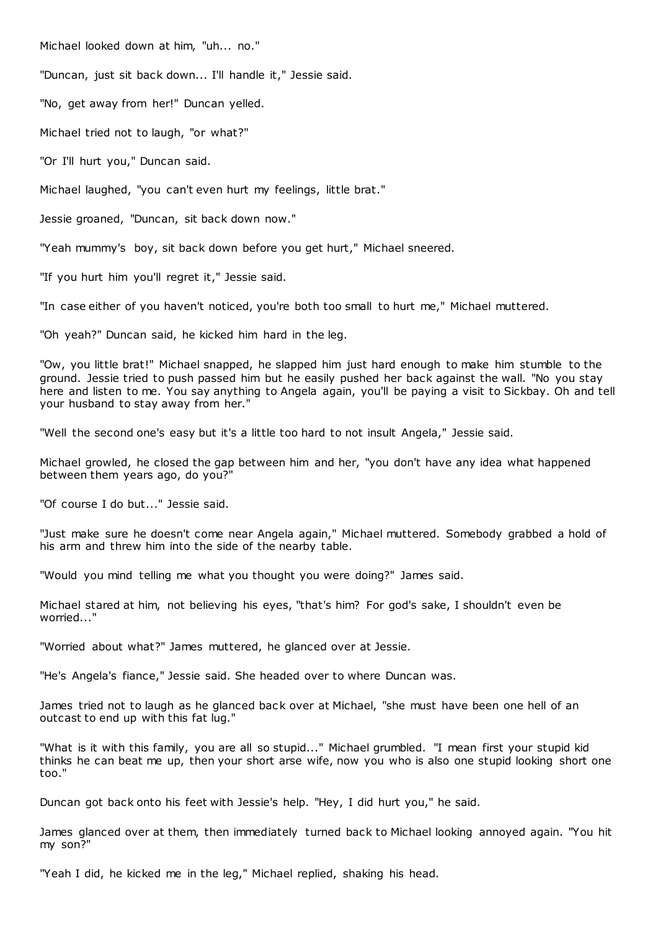Michael looked down at him, "uh... no."

"Duncan, just sit back down... I'll handle it," Jessie said.

"No, get away from her!" Duncan yelled.

Michael tried not to laugh, "or what?"

"Or I'll hurt you," Duncan said.

Michael laughed, "you can't even hurt my feelings, little brat."

Jessie groaned, "Duncan, sit back down now."

"Yeah mummy's boy, sit back down before you get hurt," Michael sneered.

"If you hurt him you'll regret it," Jessie said.

"In case either of you haven't noticed, you're both too small to hurt me," Michael muttered.

"Oh yeah?" Duncan said, he kicked him hard in the leg.

"Ow, you little brat!" Michael snapped, he slapped him just hard enough to make him stumble to the ground. Jessie tried to push passed him but he easily pushed her back against the wall. "No you stay here and listen to me. You say anything to Angela again, you'll be paying a visit to Sickbay. Oh and tell your husband to stay away from her."

"Well the second one's easy but it's a little too hard to not insult Angela," Jessie said.

Michael growled, he closed the gap between him and her, "you don't have any idea what happened between them years ago, do you?"

"Of course I do but..." Jessie said.

"Just make sure he doesn't come near Angela again," Michael muttered. Somebody grabbed a hold of his arm and threw him into the side of the nearby table.

"Would you mind telling me what you thought you were doing?" James said.

Michael stared at him, not believing his eyes, "that's him? For god's sake, I shouldn't even be worried..."

"Worried about what?" James muttered, he glanced over at Jessie.

"He's Angela's fiance," Jessie said. She headed over to where Duncan was.

James tried not to laugh as he glanced back over at Michael, "she must have been one hell of an outcast to end up with this fat lug."

"What is it with this family, you are all so stupid..." Michael grumbled. "I mean first your stupid kid thinks he can beat me up, then your short arse wife, now you who is also one stupid looking short one too."

Duncan got back onto his feet with Jessie's help. "Hey, I did hurt you," he said.

James glanced over at them, then immediately turned back to Michael looking annoyed again. "You hit my son?"

"Yeah I did, he kicked me in the leg," Michael replied, shaking his head.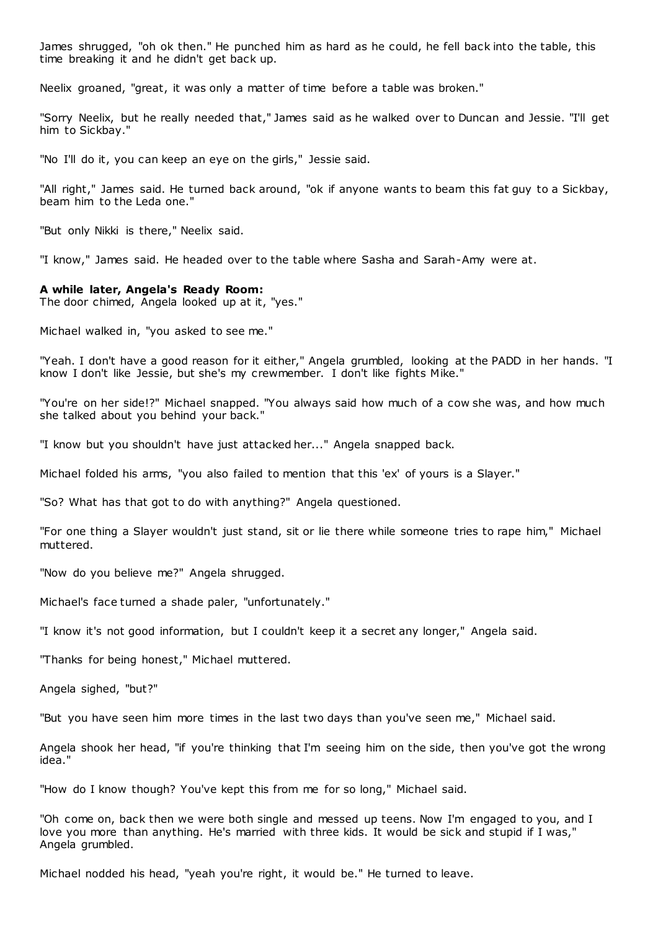James shrugged, "oh ok then." He punched him as hard as he could, he fell back into the table, this time breaking it and he didn't get back up.

Neelix groaned, "great, it was only a matter of time before a table was broken."

"Sorry Neelix, but he really needed that," James said as he walked over to Duncan and Jessie. "I'll get him to Sickbay."

"No I'll do it, you can keep an eye on the girls," Jessie said.

"All right," James said. He turned back around, "ok if anyone wants to beam this fat guy to a Sickbay, beam him to the Leda one."

"But only Nikki is there," Neelix said.

"I know," James said. He headed over to the table where Sasha and Sarah-Amy were at.

#### **A while later, Angela's Ready Room:**

The door chimed, Angela looked up at it, "yes."

Michael walked in, "you asked to see me."

"Yeah. I don't have a good reason for it either," Angela grumbled, looking at the PADD in her hands. "I know I don't like Jessie, but she's my crewmember. I don't like fights Mike."

"You're on her side!?" Michael snapped. "You always said how much of a cow she was, and how much she talked about you behind your back."

"I know but you shouldn't have just attacked her..." Angela snapped back.

Michael folded his arms, "you also failed to mention that this 'ex' of yours is a Slayer."

"So? What has that got to do with anything?" Angela questioned.

"For one thing a Slayer wouldn't just stand, sit or lie there while someone tries to rape him," Michael muttered.

"Now do you believe me?" Angela shrugged.

Michael's face turned a shade paler, "unfortunately."

"I know it's not good information, but I couldn't keep it a secret any longer," Angela said.

"Thanks for being honest," Michael muttered.

Angela sighed, "but?"

"But you have seen him more times in the last two days than you've seen me," Michael said.

Angela shook her head, "if you're thinking that I'm seeing him on the side, then you've got the wrong idea."

"How do I know though? You've kept this from me for so long," Michael said.

"Oh come on, back then we were both single and messed up teens. Now I'm engaged to you, and I love you more than anything. He's married with three kids. It would be sick and stupid if I was," Angela grumbled.

Michael nodded his head, "yeah you're right, it would be." He turned to leave.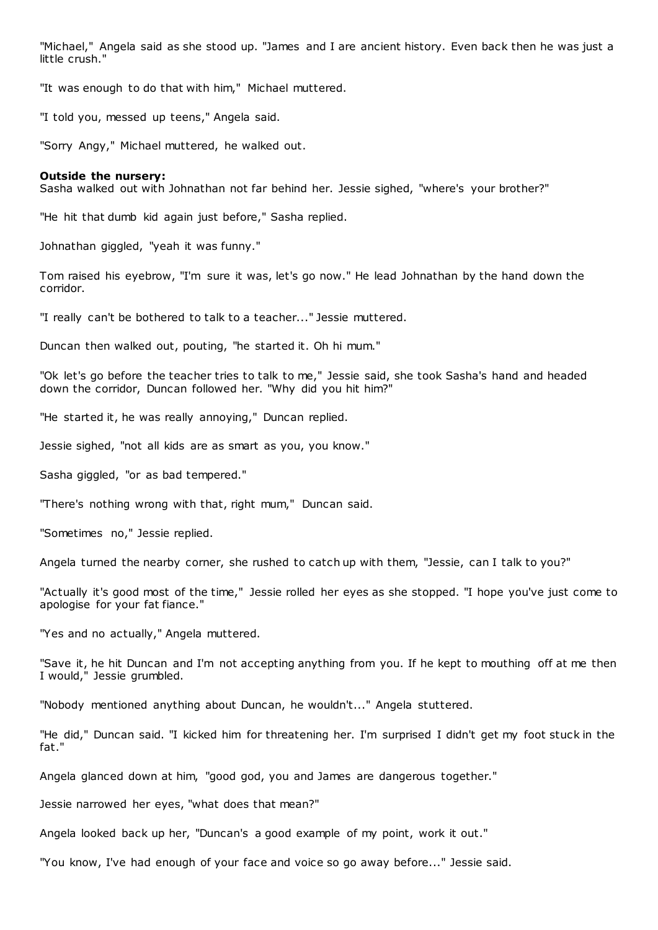"Michael," Angela said as she stood up. "James and I are ancient history. Even back then he was just a little crush."

"It was enough to do that with him," Michael muttered.

"I told you, messed up teens," Angela said.

"Sorry Angy," Michael muttered, he walked out.

## **Outside the nursery:**

Sasha walked out with Johnathan not far behind her. Jessie sighed, "where's your brother?"

"He hit that dumb kid again just before," Sasha replied.

Johnathan giggled, "yeah it was funny."

Tom raised his eyebrow, "I'm sure it was, let's go now." He lead Johnathan by the hand down the corridor.

"I really can't be bothered to talk to a teacher..." Jessie muttered.

Duncan then walked out, pouting, "he started it. Oh hi mum."

"Ok let's go before the teacher tries to talk to me," Jessie said, she took Sasha's hand and headed down the corridor, Duncan followed her. "Why did you hit him?"

"He started it, he was really annoying," Duncan replied.

Jessie sighed, "not all kids are as smart as you, you know."

Sasha giggled, "or as bad tempered."

"There's nothing wrong with that, right mum," Duncan said.

"Sometimes no," Jessie replied.

Angela turned the nearby corner, she rushed to catch up with them, "Jessie, can I talk to you?"

"Actually it's good most of the time," Jessie rolled her eyes as she stopped. "I hope you've just come to apologise for your fat fiance."

"Yes and no actually," Angela muttered.

"Save it, he hit Duncan and I'm not accepting anything from you. If he kept to mouthing off at me then I would," Jessie grumbled.

"Nobody mentioned anything about Duncan, he wouldn't..." Angela stuttered.

"He did," Duncan said. "I kicked him for threatening her. I'm surprised I didn't get my foot stuck in the fat."

Angela glanced down at him, "good god, you and James are dangerous together."

Jessie narrowed her eyes, "what does that mean?"

Angela looked back up her, "Duncan's a good example of my point, work it out."

"You know, I've had enough of your face and voice so go away before..." Jessie said.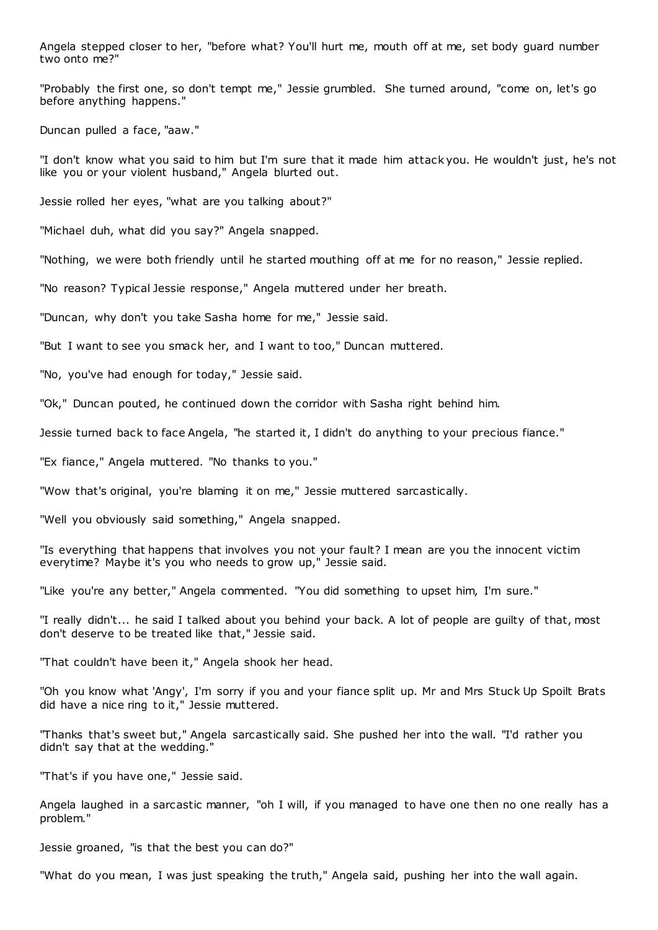Angela stepped closer to her, "before what? You'll hurt me, mouth off at me, set body guard number two onto me?"

"Probably the first one, so don't tempt me," Jessie grumbled. She turned around, "come on, let's go before anything happens."

Duncan pulled a face, "aaw."

"I don't know what you said to him but I'm sure that it made him attack you. He wouldn't just, he's not like you or your violent husband," Angela blurted out.

Jessie rolled her eyes, "what are you talking about?"

"Michael duh, what did you say?" Angela snapped.

"Nothing, we were both friendly until he started mouthing off at me for no reason," Jessie replied.

"No reason? Typical Jessie response," Angela muttered under her breath.

"Duncan, why don't you take Sasha home for me," Jessie said.

"But I want to see you smack her, and I want to too," Duncan muttered.

"No, you've had enough for today," Jessie said.

"Ok," Duncan pouted, he continued down the corridor with Sasha right behind him.

Jessie turned back to face Angela, "he started it, I didn't do anything to your precious fiance."

"Ex fiance," Angela muttered. "No thanks to you."

"Wow that's original, you're blaming it on me," Jessie muttered sarcastically.

"Well you obviously said something," Angela snapped.

"Is everything that happens that involves you not your fault? I mean are you the innocent victim everytime? Maybe it's you who needs to grow up," Jessie said.

"Like you're any better," Angela commented. "You did something to upset him, I'm sure."

"I really didn't... he said I talked about you behind your back. A lot of people are guilty of that, most don't deserve to be treated like that," Jessie said.

"That couldn't have been it," Angela shook her head.

"Oh you know what 'Angy', I'm sorry if you and your fiance split up. Mr and Mrs Stuck Up Spoilt Brats did have a nice ring to it," Jessie muttered.

"Thanks that's sweet but," Angela sarcastically said. She pushed her into the wall. "I'd rather you didn't say that at the wedding."

"That's if you have one," Jessie said.

Angela laughed in a sarcastic manner, "oh I will, if you managed to have one then no one really has a problem."

Jessie groaned, "is that the best you can do?"

"What do you mean, I was just speaking the truth," Angela said, pushing her into the wall again.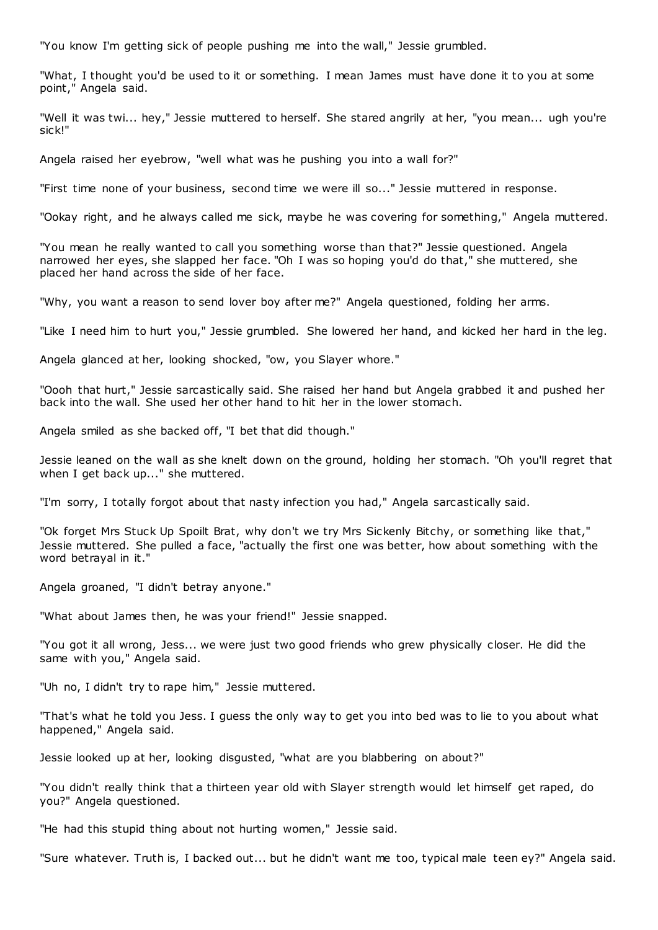"You know I'm getting sick of people pushing me into the wall," Jessie grumbled.

"What, I thought you'd be used to it or something. I mean James must have done it to you at some point," Angela said.

"Well it was twi... hey," Jessie muttered to herself. She stared angrily at her, "you mean... ugh you're sick!"

Angela raised her eyebrow, "well what was he pushing you into a wall for?"

"First time none of your business, second time we were ill so..." Jessie muttered in response.

"Ookay right, and he always called me sick, maybe he was covering for something," Angela muttered.

"You mean he really wanted to call you something worse than that?" Jessie questioned. Angela narrowed her eyes, she slapped her face. "Oh I was so hoping you'd do that," she muttered, she placed her hand across the side of her face.

"Why, you want a reason to send lover boy after me?" Angela questioned, folding her arms.

"Like I need him to hurt you," Jessie grumbled. She lowered her hand, and kicked her hard in the leg.

Angela glanced at her, looking shocked, "ow, you Slayer whore."

"Oooh that hurt," Jessie sarcastically said. She raised her hand but Angela grabbed it and pushed her back into the wall. She used her other hand to hit her in the lower stomach.

Angela smiled as she backed off, "I bet that did though."

Jessie leaned on the wall as she knelt down on the ground, holding her stomach. "Oh you'll regret that when I get back up..." she muttered.

"I'm sorry, I totally forgot about that nasty infection you had," Angela sarcastically said.

"Ok forget Mrs Stuck Up Spoilt Brat, why don't we try Mrs Sickenly Bitchy, or something like that," Jessie muttered. She pulled a face, "actually the first one was better, how about something with the word betrayal in it."

Angela groaned, "I didn't betray anyone."

"What about James then, he was your friend!" Jessie snapped.

"You got it all wrong, Jess... we were just two good friends who grew physically closer. He did the same with you," Angela said.

"Uh no, I didn't try to rape him," Jessie muttered.

"That's what he told you Jess. I guess the only way to get you into bed was to lie to you about what happened," Angela said.

Jessie looked up at her, looking disgusted, "what are you blabbering on about?"

"You didn't really think that a thirteen year old with Slayer strength would let himself get raped, do you?" Angela questioned.

"He had this stupid thing about not hurting women," Jessie said.

"Sure whatever. Truth is, I backed out... but he didn't want me too, typical male teen ey?" Angela said.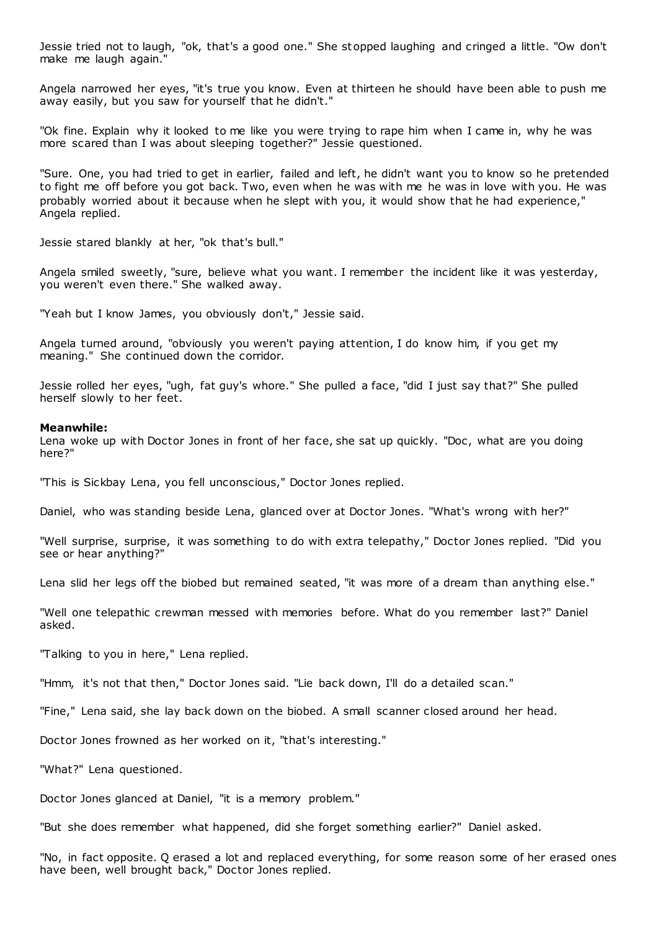Jessie tried not to laugh, "ok, that's a good one." She stopped laughing and cringed a little. "Ow don't make me laugh again."

Angela narrowed her eyes, "it's true you know. Even at thirteen he should have been able to push me away easily, but you saw for yourself that he didn't."

"Ok fine. Explain why it looked to me like you were trying to rape him when I came in, why he was more scared than I was about sleeping together?" Jessie questioned.

"Sure. One, you had tried to get in earlier, failed and left, he didn't want you to know so he pretended to fight me off before you got back. Two, even when he was with me he was in love with you. He was probably worried about it because when he slept with you, it would show that he had experience," Angela replied.

Jessie stared blankly at her, "ok that's bull."

Angela smiled sweetly, "sure, believe what you want. I remember the incident like it was yesterday, you weren't even there." She walked away.

"Yeah but I know James, you obviously don't," Jessie said.

Angela turned around, "obviously you weren't paying attention, I do know him, if you get my meaning." She continued down the corridor.

Jessie rolled her eyes, "ugh, fat guy's whore." She pulled a face, "did I just say that?" She pulled herself slowly to her feet.

## **Meanwhile:**

Lena woke up with Doctor Jones in front of her face, she sat up quickly. "Doc, what are you doing here?"

"This is Sickbay Lena, you fell unconscious," Doctor Jones replied.

Daniel, who was standing beside Lena, glanced over at Doctor Jones. "What's wrong with her?"

"Well surprise, surprise, it was something to do with extra telepathy," Doctor Jones replied. "Did you see or hear anything?"

Lena slid her legs off the biobed but remained seated, "it was more of a dream than anything else."

"Well one telepathic crewman messed with memories before. What do you remember last?" Daniel asked.

"Talking to you in here," Lena replied.

"Hmm, it's not that then," Doctor Jones said. "Lie back down, I'll do a detailed scan."

"Fine," Lena said, she lay back down on the biobed. A small scanner closed around her head.

Doctor Jones frowned as her worked on it, "that's interesting."

"What?" Lena questioned.

Doctor Jones glanced at Daniel, "it is a memory problem."

"But she does remember what happened, did she forget something earlier?" Daniel asked.

"No, in fact opposite. Q erased a lot and replaced everything, for some reason some of her erased ones have been, well brought back," Doctor Jones replied.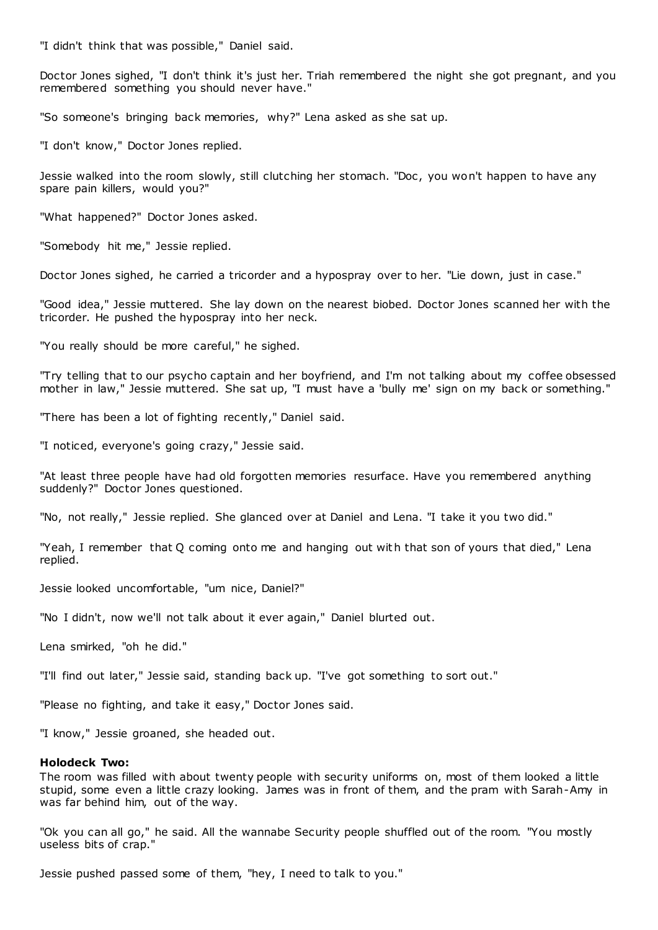"I didn't think that was possible," Daniel said.

Doctor Jones sighed, "I don't think it's just her. Triah remembered the night she got pregnant, and you remembered something you should never have."

"So someone's bringing back memories, why?" Lena asked as she sat up.

"I don't know," Doctor Jones replied.

Jessie walked into the room slowly, still clutching her stomach. "Doc, you won't happen to have any spare pain killers, would you?"

"What happened?" Doctor Jones asked.

"Somebody hit me," Jessie replied.

Doctor Jones sighed, he carried a tricorder and a hypospray over to her. "Lie down, just in case."

"Good idea," Jessie muttered. She lay down on the nearest biobed. Doctor Jones scanned her with the tricorder. He pushed the hypospray into her neck.

"You really should be more careful," he sighed.

"Try telling that to our psycho captain and her boyfriend, and I'm not talking about my coffee obsessed mother in law," Jessie muttered. She sat up, "I must have a 'bully me' sign on my back or something."

"There has been a lot of fighting recently," Daniel said.

"I noticed, everyone's going crazy," Jessie said.

"At least three people have had old forgotten memories resurface. Have you remembered anything suddenly?" Doctor Jones questioned.

"No, not really," Jessie replied. She glanced over at Daniel and Lena. "I take it you two did."

"Yeah, I remember that Q coming onto me and hanging out with that son of yours that died," Lena replied.

Jessie looked uncomfortable, "um nice, Daniel?"

"No I didn't, now we'll not talk about it ever again," Daniel blurted out.

Lena smirked, "oh he did."

"I'll find out later," Jessie said, standing back up. "I've got something to sort out."

"Please no fighting, and take it easy," Doctor Jones said.

"I know," Jessie groaned, she headed out.

## **Holodeck Two:**

The room was filled with about twenty people with security uniforms on, most of them looked a little stupid, some even a little crazy looking. James was in front of them, and the pram with Sarah-Amy in was far behind him, out of the way.

"Ok you can all go," he said. All the wannabe Security people shuffled out of the room. "You mostly useless bits of crap."

Jessie pushed passed some of them, "hey, I need to talk to you."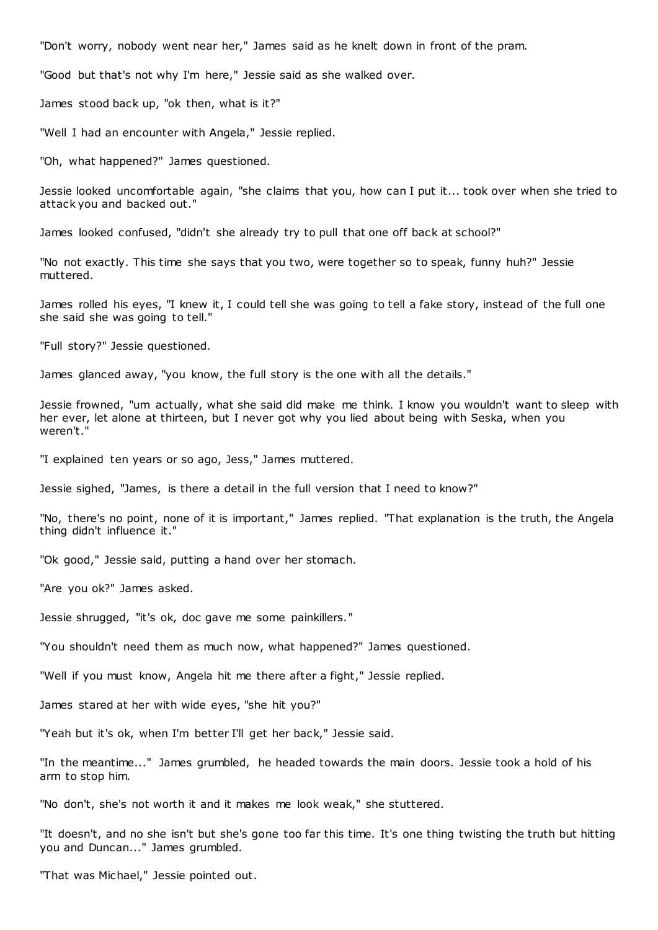"Don't worry, nobody went near her," James said as he knelt down in front of the pram.

"Good but that's not why I'm here," Jessie said as she walked over.

James stood back up, "ok then, what is it?"

"Well I had an encounter with Angela," Jessie replied.

"Oh, what happened?" James questioned.

Jessie looked uncomfortable again, "she claims that you, how can I put it... took over when she tried to attack you and backed out."

James looked confused, "didn't she already try to pull that one off back at school?"

"No not exactly. This time she says that you two, were together so to speak, funny huh?" Jessie muttered.

James rolled his eyes, "I knew it, I could tell she was going to tell a fake story, instead of the full one she said she was going to tell."

"Full story?" Jessie questioned.

James glanced away, "you know, the full story is the one with all the details."

Jessie frowned, "um actually, what she said did make me think. I know you wouldn't want to sleep with her ever, let alone at thirteen, but I never got why you lied about being with Seska, when you weren't."

"I explained ten years or so ago, Jess," James muttered.

Jessie sighed, "James, is there a detail in the full version that I need to know?"

"No, there's no point, none of it is important," James replied. "That explanation is the truth, the Angela thing didn't influence it."

"Ok good," Jessie said, putting a hand over her stomach.

"Are you ok?" James asked.

Jessie shrugged, "it's ok, doc gave me some painkillers."

"You shouldn't need them as much now, what happened?" James questioned.

"Well if you must know, Angela hit me there after a fight," Jessie replied.

James stared at her with wide eyes, "she hit you?"

"Yeah but it's ok, when I'm better I'll get her back," Jessie said.

"In the meantime..." James grumbled, he headed towards the main doors. Jessie took a hold of his arm to stop him.

"No don't, she's not worth it and it makes me look weak," she stuttered.

"It doesn't, and no she isn't but she's gone too far this time. It's one thing twisting the truth but hitting you and Duncan..." James grumbled.

"That was Michael," Jessie pointed out.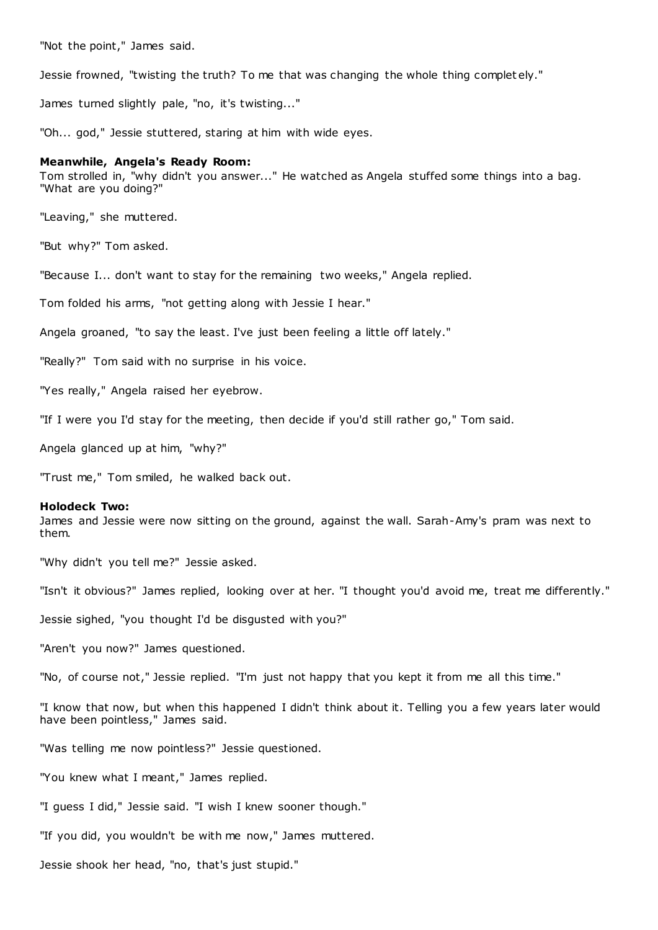"Not the point," James said.

Jessie frowned, "twisting the truth? To me that was changing the whole thing complet ely."

James turned slightly pale, "no, it's twisting..."

"Oh... god," Jessie stuttered, staring at him with wide eyes.

## **Meanwhile, Angela's Ready Room:**

Tom strolled in, "why didn't you answer..." He watched as Angela stuffed some things into a bag. "What are you doing?"

"Leaving," she muttered.

"But why?" Tom asked.

"Because I... don't want to stay for the remaining two weeks," Angela replied.

Tom folded his arms, "not getting along with Jessie I hear."

Angela groaned, "to say the least. I've just been feeling a little off lately."

"Really?" Tom said with no surprise in his voice.

"Yes really," Angela raised her eyebrow.

"If I were you I'd stay for the meeting, then decide if you'd still rather go," Tom said.

Angela glanced up at him, "why?"

"Trust me," Tom smiled, he walked back out.

## **Holodeck Two:**

James and Jessie were now sitting on the ground, against the wall. Sarah-Amy's pram was next to them.

"Why didn't you tell me?" Jessie asked.

"Isn't it obvious?" James replied, looking over at her. "I thought you'd avoid me, treat me differently."

Jessie sighed, "you thought I'd be disgusted with you?"

"Aren't you now?" James questioned.

"No, of course not," Jessie replied. "I'm just not happy that you kept it from me all this time."

"I know that now, but when this happened I didn't think about it. Telling you a few years later would have been pointless," James said.

"Was telling me now pointless?" Jessie questioned.

"You knew what I meant," James replied.

"I guess I did," Jessie said. "I wish I knew sooner though."

"If you did, you wouldn't be with me now," James muttered.

Jessie shook her head, "no, that's just stupid."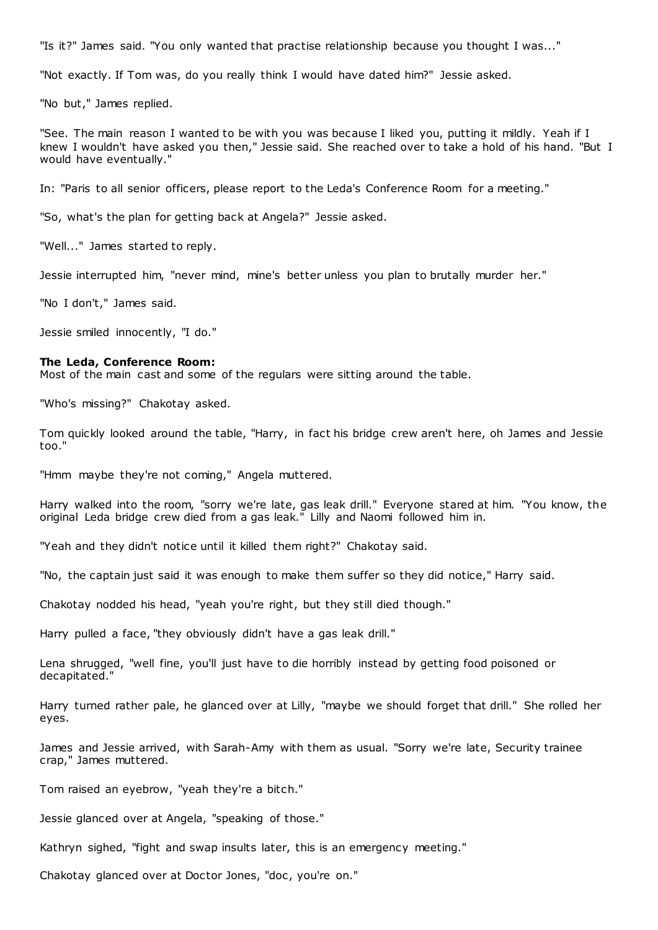"Is it?" James said. "You only wanted that practise relationship because you thought I was..."

"Not exactly. If Tom was, do you really think I would have dated him?" Jessie asked.

"No but," James replied.

"See. The main reason I wanted to be with you was because I liked you, putting it mildly. Yeah if I knew I wouldn't have asked you then," Jessie said. She reached over to take a hold of his hand. "But I would have eventually."

In: "Paris to all senior officers, please report to the Leda's Conference Room for a meeting."

"So, what's the plan for getting back at Angela?" Jessie asked.

"Well..." James started to reply.

Jessie interrupted him, "never mind, mine's better unless you plan to brutally murder her."

"No I don't," James said.

Jessie smiled innocently, "I do."

## **The Leda, Conference Room:**

Most of the main cast and some of the regulars were sitting around the table.

"Who's missing?" Chakotay asked.

Tom quickly looked around the table, "Harry, in fact his bridge crew aren't here, oh James and Jessie too."

"Hmm maybe they're not coming," Angela muttered.

Harry walked into the room, "sorry we're late, gas leak drill." Everyone stared at him. "You know, the original Leda bridge crew died from a gas leak." Lilly and Naomi followed him in.

"Yeah and they didn't notice until it killed them right?" Chakotay said.

"No, the captain just said it was enough to make them suffer so they did notice," Harry said.

Chakotay nodded his head, "yeah you're right, but they still died though."

Harry pulled a face, "they obviously didn't have a gas leak drill."

Lena shrugged, "well fine, you'll just have to die horribly instead by getting food poisoned or decapitated."

Harry turned rather pale, he glanced over at Lilly, "maybe we should forget that drill." She rolled her eyes.

James and Jessie arrived, with Sarah-Amy with them as usual. "Sorry we're late, Security trainee crap," James muttered.

Tom raised an eyebrow, "yeah they're a bitch."

Jessie glanced over at Angela, "speaking of those."

Kathryn sighed, "fight and swap insults later, this is an emergency meeting."

Chakotay glanced over at Doctor Jones, "doc, you're on."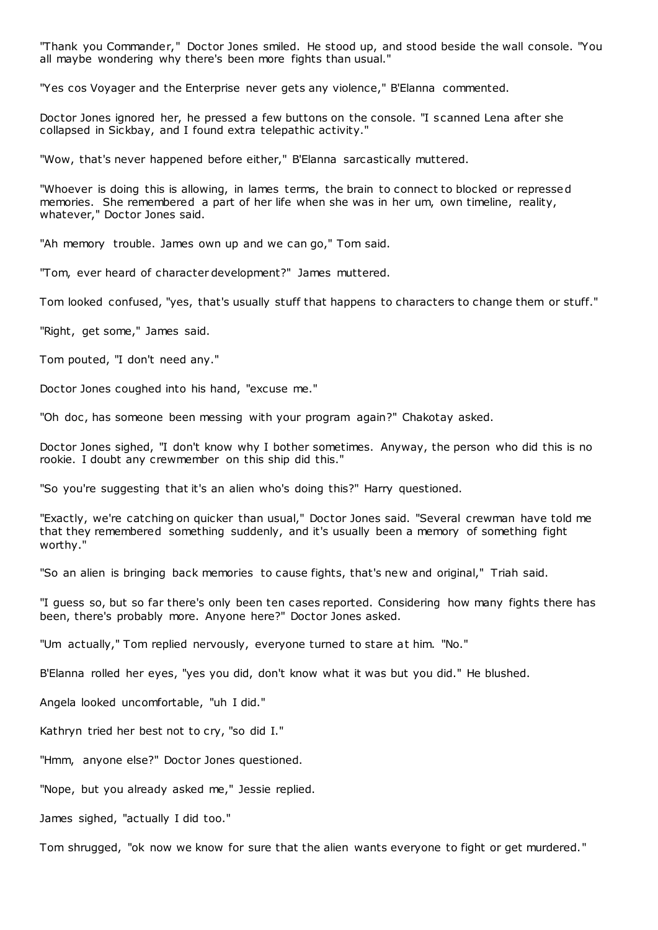"Thank you Commander," Doctor Jones smiled. He stood up, and stood beside the wall console. "You all maybe wondering why there's been more fights than usual."

"Yes cos Voyager and the Enterprise never gets any violence," B'Elanna commented.

Doctor Jones ignored her, he pressed a few buttons on the console. "I scanned Lena after she collapsed in Sickbay, and I found extra telepathic activity."

"Wow, that's never happened before either," B'Elanna sarcastically muttered.

"Whoever is doing this is allowing, in lames terms, the brain to connect to blocked or repressed memories. She remembered a part of her life when she was in her um, own timeline, reality, whatever," Doctor Jones said.

"Ah memory trouble. James own up and we can go," Tom said.

"Tom, ever heard of character development?" James muttered.

Tom looked confused, "yes, that's usually stuff that happens to characters to change them or stuff."

"Right, get some," James said.

Tom pouted, "I don't need any."

Doctor Jones coughed into his hand, "excuse me."

"Oh doc, has someone been messing with your program again?" Chakotay asked.

Doctor Jones sighed, "I don't know why I bother sometimes. Anyway, the person who did this is no rookie. I doubt any crewmember on this ship did this."

"So you're suggesting that it's an alien who's doing this?" Harry questioned.

"Exactly, we're catching on quicker than usual," Doctor Jones said. "Several crewman have told me that they remembered something suddenly, and it's usually been a memory of something fight worthy."

"So an alien is bringing back memories to cause fights, that's new and original," Triah said.

"I guess so, but so far there's only been ten cases reported. Considering how many fights there has been, there's probably more. Anyone here?" Doctor Jones asked.

"Um actually," Tom replied nervously, everyone turned to stare at him. "No."

B'Elanna rolled her eyes, "yes you did, don't know what it was but you did." He blushed.

Angela looked uncomfortable, "uh I did."

Kathryn tried her best not to cry, "so did I."

"Hmm, anyone else?" Doctor Jones questioned.

"Nope, but you already asked me," Jessie replied.

James sighed, "actually I did too."

Tom shrugged, "ok now we know for sure that the alien wants everyone to fight or get murdered."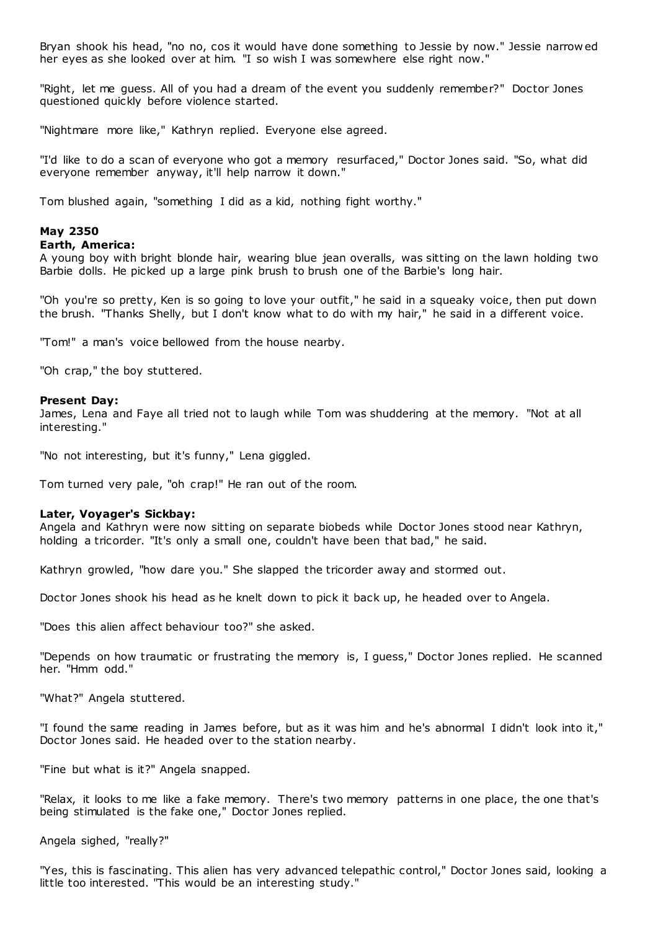Bryan shook his head, "no no, cos it would have done something to Jessie by now." Jessie narrow ed her eyes as she looked over at him. "I so wish I was somewhere else right now."

"Right, let me guess. All of you had a dream of the event you suddenly remember?" Doctor Jones questioned quickly before violence started.

"Nightmare more like," Kathryn replied. Everyone else agreed.

"I'd like to do a scan of everyone who got a memory resurfaced," Doctor Jones said. "So, what did everyone remember anyway, it'll help narrow it down."

Tom blushed again, "something I did as a kid, nothing fight worthy."

## **May 2350**

## **Earth, America:**

A young boy with bright blonde hair, wearing blue jean overalls, was sitting on the lawn holding two Barbie dolls. He picked up a large pink brush to brush one of the Barbie's long hair.

"Oh you're so pretty, Ken is so going to love your outfit," he said in a squeaky voice, then put down the brush. "Thanks Shelly, but I don't know what to do with my hair," he said in a different voice.

"Tom!" a man's voice bellowed from the house nearby.

"Oh crap," the boy stuttered.

## **Present Day:**

James, Lena and Faye all tried not to laugh while Tom was shuddering at the memory. "Not at all interesting."

"No not interesting, but it's funny," Lena giggled.

Tom turned very pale, "oh crap!" He ran out of the room.

## **Later, Voyager's Sickbay:**

Angela and Kathryn were now sitting on separate biobeds while Doctor Jones stood near Kathryn, holding a tricorder. "It's only a small one, couldn't have been that bad," he said.

Kathryn growled, "how dare you." She slapped the tricorder away and stormed out.

Doctor Jones shook his head as he knelt down to pick it back up, he headed over to Angela.

"Does this alien affect behaviour too?" she asked.

"Depends on how traumatic or frustrating the memory is, I guess," Doctor Jones replied. He scanned her. "Hmm odd."

"What?" Angela stuttered.

"I found the same reading in James before, but as it was him and he's abnormal I didn't look into it," Doctor Jones said. He headed over to the station nearby.

"Fine but what is it?" Angela snapped.

"Relax, it looks to me like a fake memory. There's two memory patterns in one place, the one that's being stimulated is the fake one," Doctor Jones replied.

Angela sighed, "really?"

"Yes, this is fascinating. This alien has very advanced telepathic control," Doctor Jones said, looking a little too interested. "This would be an interesting study."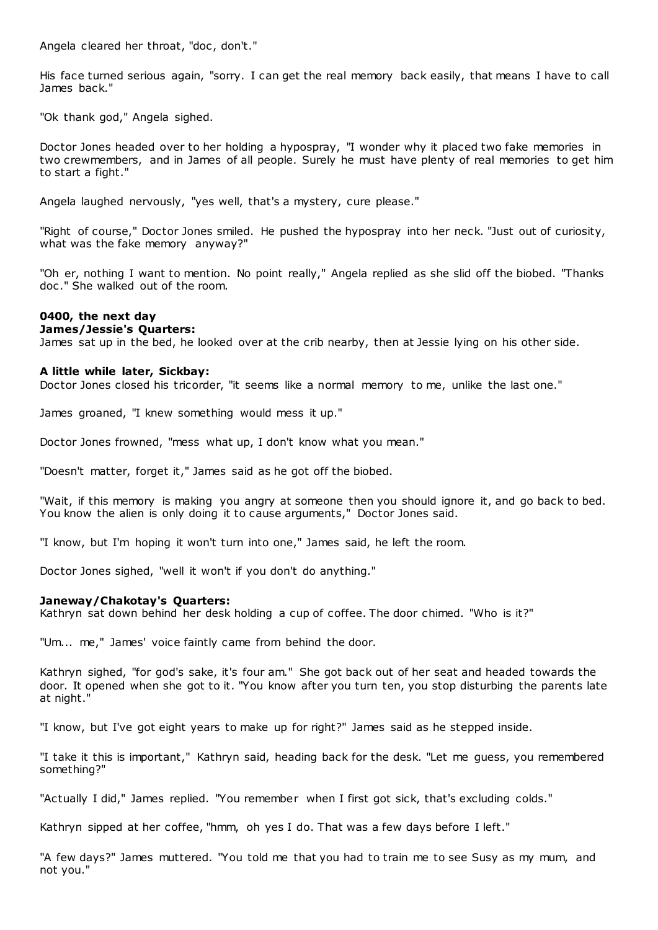Angela cleared her throat, "doc , don't."

His face turned serious again, "sorry. I can get the real memory back easily, that means I have to call James back."

"Ok thank god," Angela sighed.

Doctor Jones headed over to her holding a hypospray, "I wonder why it placed two fake memories in two crewmembers, and in James of all people. Surely he must have plenty of real memories to get him to start a fight."

Angela laughed nervously, "yes well, that's a mystery, cure please."

"Right of course," Doctor Jones smiled. He pushed the hypospray into her neck. "Just out of curiosity, what was the fake memory anyway?"

"Oh er, nothing I want to mention. No point really," Angela replied as she slid off the biobed. "Thanks doc ." She walked out of the room.

## **0400, the next day**

## **James/Jessie's Quarters:**

James sat up in the bed, he looked over at the crib nearby, then at Jessie lying on his other side.

## **A little while later, Sickbay:**

Doctor Jones closed his tricorder, "it seems like a normal memory to me, unlike the last one."

James groaned, "I knew something would mess it up."

Doctor Jones frowned, "mess what up, I don't know what you mean."

"Doesn't matter, forget it," James said as he got off the biobed.

"Wait, if this memory is making you angry at someone then you should ignore it, and go back to bed. You know the alien is only doing it to cause arguments," Doctor Jones said.

"I know, but I'm hoping it won't turn into one," James said, he left the room.

Doctor Jones sighed, "well it won't if you don't do anything."

## **Janeway/Chakotay's Quarters:**

Kathryn sat down behind her desk holding a cup of coffee. The door chimed. "Who is it?"

"Um... me," James' voice faintly came from behind the door.

Kathryn sighed, "for god's sake, it's four am." She got back out of her seat and headed towards the door. It opened when she got to it. "You know after you turn ten, you stop disturbing the parents late at night."

"I know, but I've got eight years to make up for right?" James said as he stepped inside.

"I take it this is important," Kathryn said, heading back for the desk. "Let me guess, you remembered something?"

"Actually I did," James replied. "You remember when I first got sick, that's excluding colds."

Kathryn sipped at her coffee, "hmm, oh yes I do. That was a few days before I left."

"A few days?" James muttered. "You told me that you had to train me to see Susy as my mum, and not you."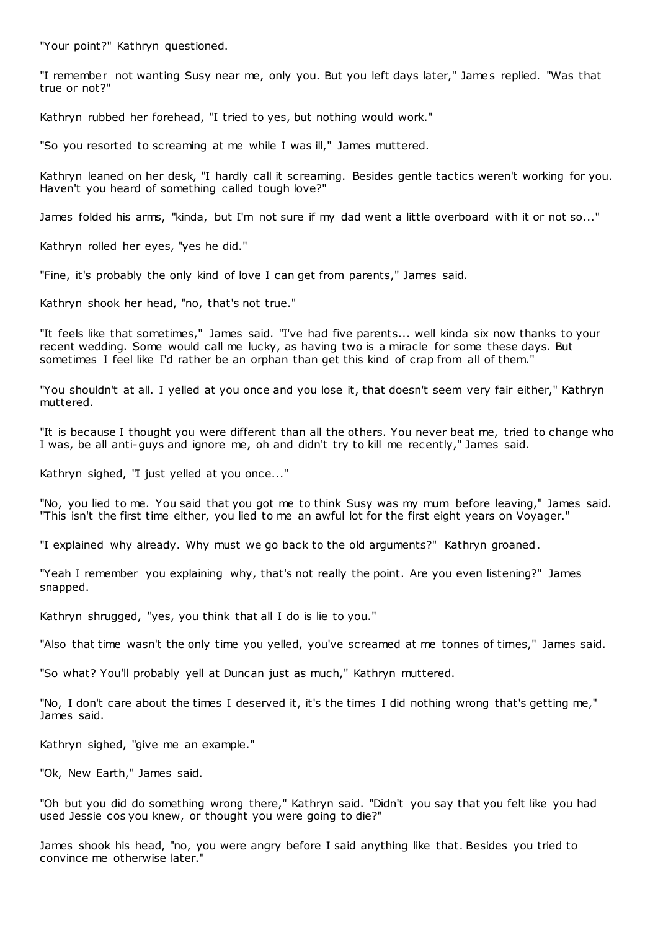"Your point?" Kathryn questioned.

"I remember not wanting Susy near me, only you. But you left days later," James replied. "Was that true or not?"

Kathryn rubbed her forehead, "I tried to yes, but nothing would work."

"So you resorted to screaming at me while I was ill," James muttered.

Kathryn leaned on her desk, "I hardly call it screaming. Besides gentle tactics weren't working for you. Haven't you heard of something called tough love?"

James folded his arms, "kinda, but I'm not sure if my dad went a little overboard with it or not so..."

Kathryn rolled her eyes, "yes he did."

"Fine, it's probably the only kind of love I can get from parents," James said.

Kathryn shook her head, "no, that's not true."

"It feels like that sometimes," James said. "I've had five parents... well kinda six now thanks to your recent wedding. Some would call me lucky, as having two is a miracle for some these days. But sometimes I feel like I'd rather be an orphan than get this kind of crap from all of them."

"You shouldn't at all. I yelled at you once and you lose it, that doesn't seem very fair either," Kathryn muttered.

"It is because I thought you were different than all the others. You never beat me, tried to change who I was, be all anti-guys and ignore me, oh and didn't try to kill me recently," James said.

Kathryn sighed, "I just yelled at you once..."

"No, you lied to me. You said that you got me to think Susy was my mum before leaving," James said. "This isn't the first time either, you lied to me an awful lot for the first eight years on Voyager."

"I explained why already. Why must we go back to the old arguments?" Kathryn groaned.

"Yeah I remember you explaining why, that's not really the point. Are you even listening?" James snapped.

Kathryn shrugged, "yes, you think that all I do is lie to you."

"Also that time wasn't the only time you yelled, you've screamed at me tonnes of times," James said.

"So what? You'll probably yell at Duncan just as much," Kathryn muttered.

"No, I don't care about the times I deserved it, it's the times I did nothing wrong that's getting me," James said.

Kathryn sighed, "give me an example."

"Ok, New Earth," James said.

"Oh but you did do something wrong there," Kathryn said. "Didn't you say that you felt like you had used Jessie cos you knew, or thought you were going to die?"

James shook his head, "no, you were angry before I said anything like that. Besides you tried to convince me otherwise later."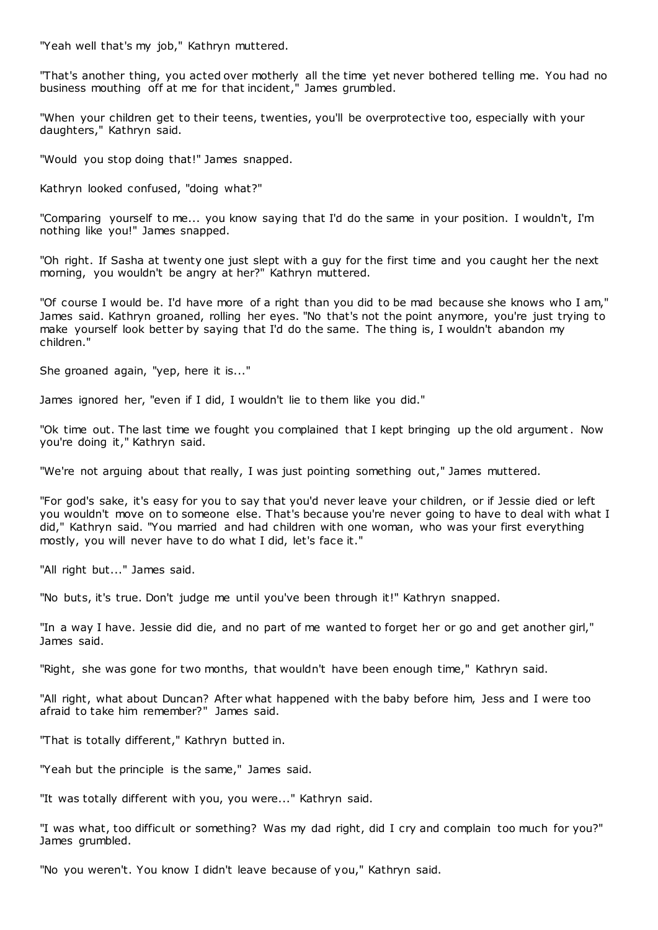"Yeah well that's my job," Kathryn muttered.

"That's another thing, you acted over motherly all the time yet never bothered telling me. You had no business mouthing off at me for that incident," James grumbled.

"When your children get to their teens, twenties, you'll be overprotective too, especially with your daughters," Kathryn said.

"Would you stop doing that!" James snapped.

Kathryn looked confused, "doing what?"

"Comparing yourself to me... you know saying that I'd do the same in your position. I wouldn't, I'm nothing like you!" James snapped.

"Oh right. If Sasha at twenty one just slept with a guy for the first time and you caught her the next morning, you wouldn't be angry at her?" Kathryn muttered.

"Of course I would be. I'd have more of a right than you did to be mad because she knows who I am," James said. Kathryn groaned, rolling her eyes. "No that's not the point anymore, you're just trying to make yourself look better by saying that I'd do the same. The thing is, I wouldn't abandon my children."

She groaned again, "yep, here it is..."

James ignored her, "even if I did, I wouldn't lie to them like you did."

"Ok time out. The last time we fought you complained that I kept bringing up the old argument. Now you're doing it," Kathryn said.

"We're not arguing about that really, I was just pointing something out," James muttered.

"For god's sake, it's easy for you to say that you'd never leave your children, or if Jessie died or left you wouldn't move on to someone else. That's because you're never going to have to deal with what I did," Kathryn said. "You married and had children with one woman, who was your first everything mostly, you will never have to do what I did, let's face it."

"All right but..." James said.

"No buts, it's true. Don't judge me until you've been through it!" Kathryn snapped.

"In a way I have. Jessie did die, and no part of me wanted to forget her or go and get another girl," James said.

"Right, she was gone for two months, that wouldn't have been enough time," Kathryn said.

"All right, what about Duncan? After what happened with the baby before him, Jess and I were too afraid to take him remember?" James said.

"That is totally different," Kathryn butted in.

"Yeah but the principle is the same," James said.

"It was totally different with you, you were..." Kathryn said.

"I was what, too difficult or something? Was my dad right, did I cry and complain too much for you?" James grumbled.

"No you weren't. You know I didn't leave because of you," Kathryn said.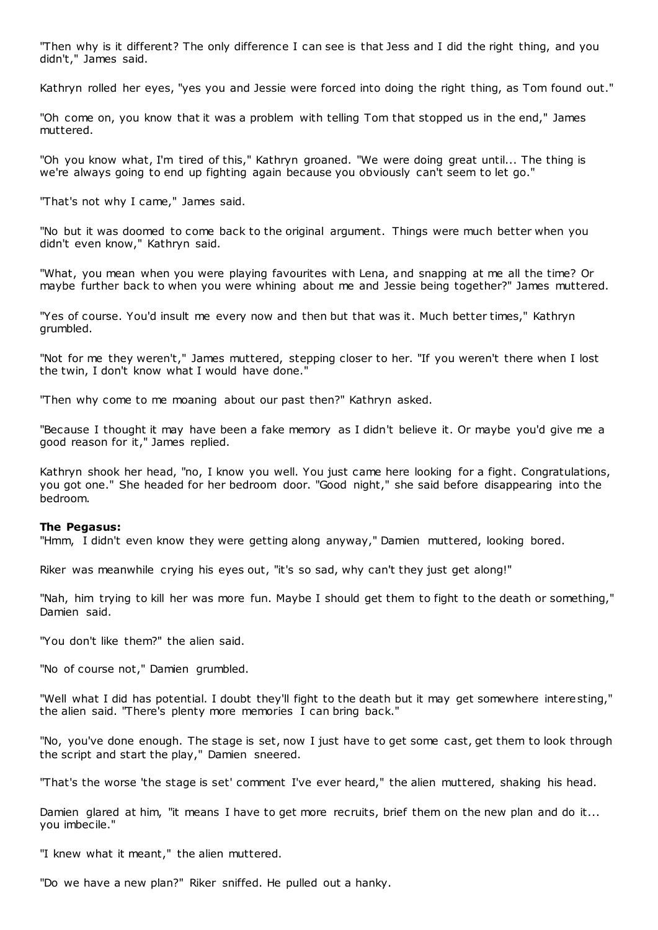"Then why is it different? The only difference I can see is that Jess and I did the right thing, and you didn't," James said.

Kathryn rolled her eyes, "yes you and Jessie were forced into doing the right thing, as Tom found out."

"Oh come on, you know that it was a problem with telling Tom that stopped us in the end," James muttered.

"Oh you know what, I'm tired of this," Kathryn groaned. "We were doing great until... The thing is we're always going to end up fighting again because you obviously can't seem to let go."

"That's not why I came," James said.

"No but it was doomed to come back to the original argument. Things were much better when you didn't even know," Kathryn said.

"What, you mean when you were playing favourites with Lena, and snapping at me all the time? Or maybe further back to when you were whining about me and Jessie being together?" James muttered.

"Yes of course. You'd insult me every now and then but that was it. Much better times," Kathryn grumbled.

"Not for me they weren't," James muttered, stepping closer to her. "If you weren't there when I lost the twin, I don't know what I would have done."

"Then why come to me moaning about our past then?" Kathryn asked.

"Because I thought it may have been a fake memory as I didn't believe it. Or maybe you'd give me a good reason for it," James replied.

Kathryn shook her head, "no, I know you well. You just came here looking for a fight. Congratulations, you got one." She headed for her bedroom door. "Good night," she said before disappearing into the bedroom.

## **The Pegasus:**

"Hmm, I didn't even know they were getting along anyway," Damien muttered, looking bored.

Riker was meanwhile crying his eyes out, "it's so sad, why can't they just get along!"

"Nah, him trying to kill her was more fun. Maybe I should get them to fight to the death or something," Damien said.

"You don't like them?" the alien said.

"No of course not," Damien grumbled.

"Well what I did has potential. I doubt they'll fight to the death but it may get somewhere interesting," the alien said. "There's plenty more memories I can bring back."

"No, you've done enough. The stage is set, now I just have to get some cast, get them to look through the script and start the play," Damien sneered.

"That's the worse 'the stage is set' comment I've ever heard," the alien muttered, shaking his head.

Damien glared at him, "it means I have to get more recruits, brief them on the new plan and do it... you imbecile."

"I knew what it meant," the alien muttered.

"Do we have a new plan?" Riker sniffed. He pulled out a hanky.